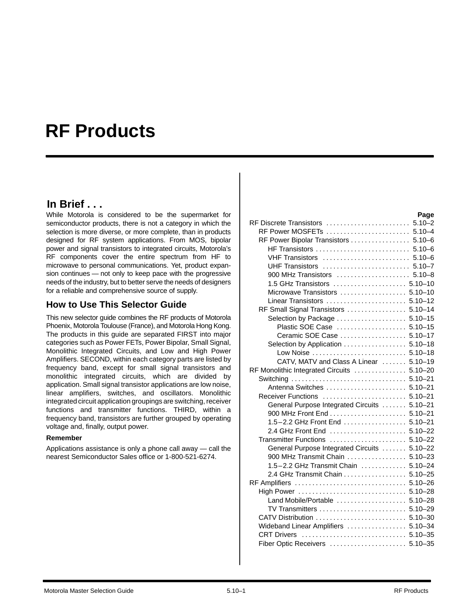# **RF Products**

### **In Brief . . .**

While Motorola is considered to be the supermarket for semiconductor products, there is not a category in which the selection is more diverse, or more complete, than in products designed for RF system applications. From MOS, bipolar power and signal transistors to integrated circuits, Motorola's RF components cover the entire spectrum from HF to microwave to personal communications. Yet, product expansion continues — not only to keep pace with the progressive needs of the industry, but to better serve the needs of designers for a reliable and comprehensive source of supply.

### **How to Use This Selector Guide**

This new selector guide combines the RF products of Motorola Phoenix, Motorola Toulouse (France), and Motorola Hong Kong. The products in this guide are separated FIRST into major categories such as Power FETs, Power Bipolar, Small Signal, Monolithic Integrated Circuits, and Low and High Power Amplifiers. SECOND, within each category parts are listed by frequency band, except for small signal transistors and monolithic integrated circuits, which are divided by application. Small signal transistor applications are low noise, linear amplifiers, switches, and oscillators. Monolithic integrated circuit application groupings are switching, receiver functions and transmitter functions. THIRD, within a frequency band, transistors are further grouped by operating voltage and, finally, output power.

### **Remember**

Applications assistance is only a phone call away — call the nearest Semiconductor Sales office or 1-800-521-6274.

|                                              | raye       |
|----------------------------------------------|------------|
| RF Discrete Transistors                      | $5.10 - 2$ |
| RF Power MOSFETs                             | $5.10 - 4$ |
| RF Power Bipolar Transistors  5.10-6         |            |
|                                              |            |
| VHF Transistors                              | $5.10 - 6$ |
| UHF Transistors  5.10-7                      |            |
| 900 MHz Transistors  5.10-8                  |            |
| 1.5 GHz Transistors  5.10-10                 |            |
| Microwave Transistors  5.10-10               |            |
| Linear Transistors  5.10-12                  |            |
| RF Small Signal Transistors  5.10-14         |            |
| Selection by Package  5.10-15                |            |
| Plastic SOE Case  5.10-15                    |            |
| Ceramic SOE Case  5.10-17                    |            |
| Selection by Application  5.10-18            |            |
| Low Noise  5.10-18                           |            |
| CATV, MATV and Class A Linear  5.10-19       |            |
| RF Monolithic Integrated Circuits  5.10-20   |            |
|                                              |            |
| Antenna Switches  5.10-21                    |            |
| Receiver Functions  5.10-21                  |            |
| General Purpose Integrated Circuits  5.10-21 |            |
|                                              |            |
| 1.5-2.2 GHz Front End  5.10-21               |            |
| 2.4 GHz Front End  5.10-22                   |            |
| Transmitter Functions  5.10-22               |            |
| General Purpose Integrated Circuits  5.10-22 |            |
| 900 MHz Transmit Chain  5.10-23              |            |
| 1.5-2.2 GHz Transmit Chain  5.10-24          |            |
| 2.4 GHz Transmit Chain  5.10-25              |            |
| RF Amplifiers  5.10-26                       |            |
| High Power  5.10-28                          |            |
| Land Mobile/Portable  5.10-28                |            |
| TV Transmitters  5.10-29                     |            |
|                                              |            |
| Wideband Linear Amplifiers  5.10-34          |            |
| CRT Drivers  5.10-35                         |            |
| Fiber Optic Receivers  5.10-35               |            |
|                                              |            |

**Page**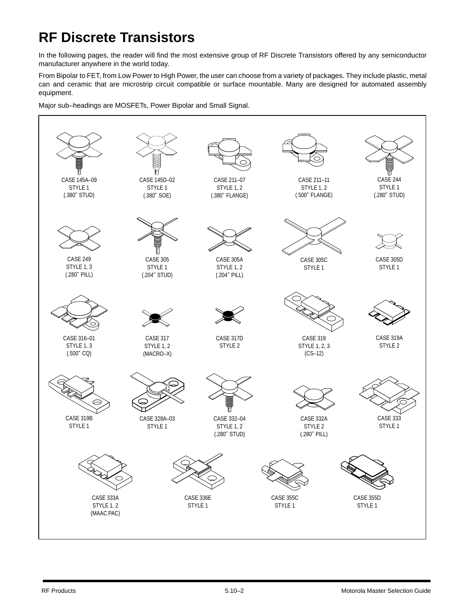# **RF Discrete Transistors**

In the following pages, the reader will find the most extensive group of RF Discrete Transistors offered by any semiconductor manufacturer anywhere in the world today.

From Bipolar to FET, from Low Power to High Power, the user can choose from a variety of packages. They include plastic, metal can and ceramic that are microstrip circuit compatible or surface mountable. Many are designed for automated assembly equipment.

Major sub–headings are MOSFETs, Power Bipolar and Small Signal.

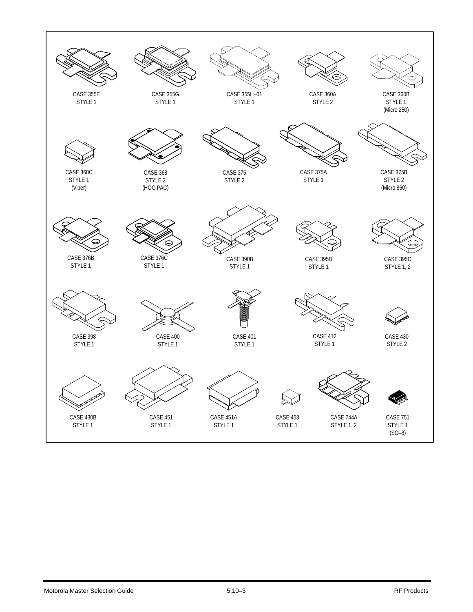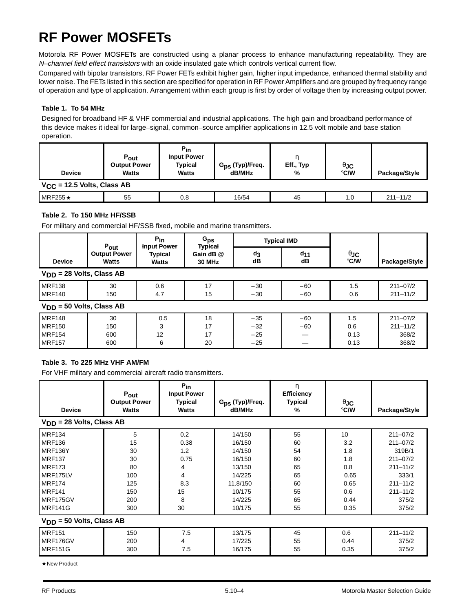# **RF Power MOSFETs**

Motorola RF Power MOSFETs are constructed using a planar process to enhance manufacturing repeatability. They are N-channel field effect transistors with an oxide insulated gate which controls vertical current flow.

Compared with bipolar transistors, RF Power FETs exhibit higher gain, higher input impedance, enhanced thermal stability and lower noise. The FETs listed in this section are specified for operation in RF Power Amplifiers and are grouped by frequency range of operation and type of application. Arrangement within each group is first by order of voltage then by increasing output power.

### **Table 1. To 54 MHz**

Designed for broadband HF & VHF commercial and industrial applications. The high gain and broadband performance of this device makes it ideal for large–signal, common–source amplifier applications in 12.5 volt mobile and base station operation.

| <b>Device</b>                          | $P_{\text{out}}$<br><b>Output Power</b><br><b>Watts</b> | $P_{in}$<br><b>Input Power</b><br><b>Typical</b><br><b>Watts</b> | G <sub>ps</sub> (Typ)/Freq.<br>dB/MHz | Eff., Typ<br>% | $\theta$ JC<br>$\mathcal{C}$ /W | Package/Style |
|----------------------------------------|---------------------------------------------------------|------------------------------------------------------------------|---------------------------------------|----------------|---------------------------------|---------------|
| $V_{\text{CC}}$ = 12.5 Volts, Class AB |                                                         |                                                                  |                                       |                |                                 |               |
| $MRF255+$                              | 55                                                      | 0.8                                                              | 16/54                                 | 45             | 1.0                             | $211 - 11/2$  |

### **Table 2. To 150 MHz HF/SSB**

For military and commercial HF/SSB fixed, mobile and marine transmitters.

|                                                                  | Pout                                | $P_{in}$<br><b>Input Power</b> | $G_{DS}$<br><b>Typical</b> | <b>Typical IMD</b>               |                |                              |                                                |
|------------------------------------------------------------------|-------------------------------------|--------------------------------|----------------------------|----------------------------------|----------------|------------------------------|------------------------------------------------|
| <b>Device</b>                                                    | <b>Output Power</b><br><b>Watts</b> | <b>Typical</b><br><b>Watts</b> | Gain dB @<br><b>30 MHz</b> | $d_3$<br>dB                      | $d_{11}$<br>dB | $\theta$ JC<br>$\degree$ C/W | Package/Style                                  |
| $VDD = 28$ Volts, Class AB                                       |                                     |                                |                            |                                  |                |                              |                                                |
| <b>MRF138</b><br><b>MRF140</b>                                   | 30<br>150                           | 0.6<br>4.7                     | 17<br>15                   | $-30$<br>$-30$                   | $-60$<br>$-60$ | 1.5<br>0.6                   | $211 - 07/2$<br>$211 - 11/2$                   |
| $VDD = 50$ Volts, Class AB                                       |                                     |                                |                            |                                  |                |                              |                                                |
| <b>MRF148</b><br><b>MRF150</b><br><b>MRF154</b><br><b>MRF157</b> | 30<br>150<br>600<br>600             | 0.5<br>3<br>12<br>6            | 18<br>17<br>17<br>20       | $-35$<br>$-32$<br>$-25$<br>$-25$ | $-60$<br>$-60$ | 1.5<br>0.6<br>0.13<br>0.13   | $211 - 07/2$<br>$211 - 11/2$<br>368/2<br>368/2 |

### **Table 3. To 225 MHz VHF AM/FM**

For VHF military and commercial aircraft radio transmitters.

| <b>Device</b>              | $P_{\text{out}}$<br><b>Output Power</b><br><b>Watts</b> | $P_{in}$<br><b>Input Power</b><br><b>Typical</b><br><b>Watts</b> | G <sub>ps</sub> (Typ)/Freq.<br>dB/MHz | η<br><b>Efficiency</b><br><b>Typical</b><br>% | $\theta$ JC<br>$\degree$ C/W | Package/Style |  |
|----------------------------|---------------------------------------------------------|------------------------------------------------------------------|---------------------------------------|-----------------------------------------------|------------------------------|---------------|--|
| $VDD = 28$ Volts, Class AB |                                                         |                                                                  |                                       |                                               |                              |               |  |
|                            |                                                         |                                                                  |                                       |                                               |                              |               |  |
| MRF134                     | 5                                                       | 0.2                                                              | 14/150                                | 55                                            | 10                           | $211 - 07/2$  |  |
| <b>MRF136</b>              | 15                                                      | 0.38                                                             | 16/150                                | 60                                            | 3.2                          | $211 - 07/2$  |  |
| MRF136Y                    | 30                                                      | 1.2                                                              | 14/150                                | 54                                            | 1.8                          | 319B/1        |  |
| MRF <sub>137</sub>         | 30                                                      | 0.75                                                             | 16/150                                | 60                                            | 1.8                          | $211 - 07/2$  |  |
| <b>MRF173</b>              | 80                                                      | 4                                                                | 13/150                                | 65                                            | 0.8                          | $211 - 11/2$  |  |
| MRF175LV                   | 100                                                     | 4                                                                | 14/225                                | 65                                            | 0.65                         | 333/1         |  |
| <b>MRF174</b>              | 125                                                     | 8.3                                                              | 11.8/150                              | 60                                            | 0.65                         | $211 - 11/2$  |  |
| <b>MRF141</b>              | 150                                                     | 15                                                               | 10/175                                | 55                                            | 0.6                          | $211 - 11/2$  |  |
| MRF175GV                   | 200                                                     | 8                                                                | 14/225                                | 65                                            | 0.44                         | 375/2         |  |
| MRF141G                    | 300                                                     | 30                                                               | 10/175                                | 55                                            | 0.35                         | 375/2         |  |
| $VDD = 50$ Volts, Class AB |                                                         |                                                                  |                                       |                                               |                              |               |  |
| MRF <sub>151</sub>         | 150                                                     | 7.5                                                              | 13/175                                | 45                                            | 0.6                          | $211 - 11/2$  |  |
| MRF176GV                   | 200                                                     | 4                                                                | 17/225                                | 55                                            | 0.44                         | 375/2         |  |
| <b>MRF151G</b>             | 300                                                     | 7.5                                                              | 16/175                                | 55                                            | 0.35                         | 375/2         |  |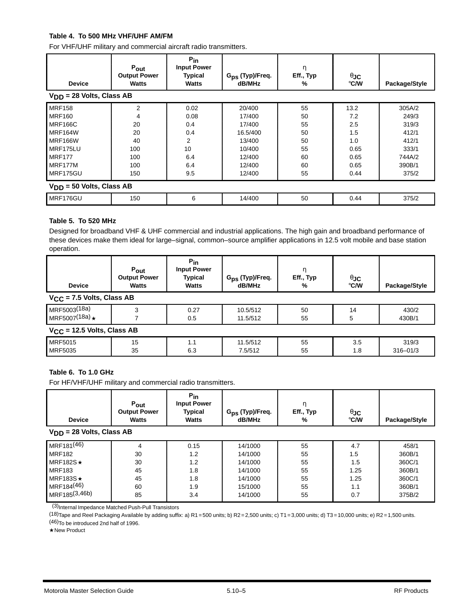### **Table 4. To 500 MHz VHF/UHF AM/FM**

For VHF/UHF military and commercial aircraft radio transmitters.

| <b>Device</b>                                                                                                       | Pout<br><b>Output Power</b><br><b>Watts</b>          | $P_{in}$<br><b>Input Power</b><br><b>Typical</b><br><b>Watts</b> | G <sub>ps</sub> (Typ)/Freq.<br>dB/MHz                                                    | η<br>Eff., Typ<br>%                                | $\theta$ JC<br>$\degree$ C/W                                     | Package/Style                                                                    |
|---------------------------------------------------------------------------------------------------------------------|------------------------------------------------------|------------------------------------------------------------------|------------------------------------------------------------------------------------------|----------------------------------------------------|------------------------------------------------------------------|----------------------------------------------------------------------------------|
| $VDD = 28$ Volts, Class AB                                                                                          |                                                      |                                                                  |                                                                                          |                                                    |                                                                  |                                                                                  |
| <b>MRF158</b><br><b>MRF160</b><br>MRF166C<br>MRF164W<br>MRF166W<br>MRF175LU<br><b>MRF177</b><br>MRF177M<br>MRF175GU | 2<br>4<br>20<br>20<br>40<br>100<br>100<br>100<br>150 | 0.02<br>0.08<br>0.4<br>0.4<br>2<br>10<br>6.4<br>6.4<br>9.5       | 20/400<br>17/400<br>17/400<br>16.5/400<br>13/400<br>10/400<br>12/400<br>12/400<br>12/400 | 55<br>50<br>55<br>50<br>50<br>55<br>60<br>60<br>55 | 13.2<br>7.2<br>2.5<br>1.5<br>1.0<br>0.65<br>0.65<br>0.65<br>0.44 | 305A/2<br>249/3<br>319/3<br>412/1<br>412/1<br>333/1<br>744A/2<br>390B/1<br>375/2 |
| $VDD = 50$ Volts, Class AB                                                                                          |                                                      |                                                                  |                                                                                          |                                                    |                                                                  |                                                                                  |
| MRF176GU                                                                                                            | 150                                                  | 6                                                                | 14/400                                                                                   | 50                                                 | 0.44                                                             | 375/2                                                                            |

### **Table 5. To 520 MHz**

Designed for broadband VHF & UHF commercial and industrial applications. The high gain and broadband performance of these devices make them ideal for large–signal, common–source amplifier applications in 12.5 volt mobile and base station operation.

| <b>Device</b>                          | Pout<br><b>Output Power</b><br><b>Watts</b> | $P_{in}$<br><b>Input Power</b><br><b>Typical</b><br><b>Watts</b> | G <sub>ps</sub> (Typ)/Freq.<br>dB/MHz | n<br>Eff., Typ<br>% | $\theta$ JC<br>$\degree$ C/W | Package/Style         |
|----------------------------------------|---------------------------------------------|------------------------------------------------------------------|---------------------------------------|---------------------|------------------------------|-----------------------|
| $V_{CC}$ = 7.5 Volts, Class AB         |                                             |                                                                  |                                       |                     |                              |                       |
| MRF5003(18a)<br>$MRF5007(18a)$ $\star$ |                                             | 0.27<br>0.5                                                      | 10.5/512<br>11.5/512                  | 50<br>55            | 14<br>5                      | 430/2<br>430B/1       |
| $V_{CC}$ = 12.5 Volts, Class AB        |                                             |                                                                  |                                       |                     |                              |                       |
| <b>MRF5015</b><br>MRF5035              | 15<br>35                                    | 1.1<br>6.3                                                       | 11.5/512<br>7.5/512                   | 55<br>55            | 3.5<br>1.8                   | 319/3<br>$316 - 01/3$ |

#### **Table 6. To 1.0 GHz**

For HF/VHF/UHF military and commercial radio transmitters.

| <b>Device</b>              | Pout<br><b>Output Power</b><br><b>Watts</b> | $P_{in}$<br><b>Input Power</b><br><b>Typical</b><br><b>Watts</b> | G <sub>ps</sub> (Typ)/Freq.<br>dB/MHz | η<br>Eff., Typ<br>℅ | $\theta$ JC<br>$\degree$ C/W | Package/Style |
|----------------------------|---------------------------------------------|------------------------------------------------------------------|---------------------------------------|---------------------|------------------------------|---------------|
| $VDD = 28$ Volts, Class AB |                                             |                                                                  |                                       |                     |                              |               |
| MRF181(46)                 | 4                                           | 0.15                                                             | 14/1000                               | 55                  | 4.7                          | 458/1         |
| <b>MRF182</b>              | 30                                          | 1.2                                                              | 14/1000                               | 55                  | 1.5                          | 360B/1        |
| MRF182S $\star$            | 30                                          | 1.2                                                              | 14/1000                               | 55                  | 1.5                          | 360C/1        |
| <b>MRF183</b>              | 45                                          | 1.8                                                              | 14/1000                               | 55                  | 1.25                         | 360B/1        |
| MRF183S $\star$            | 45                                          | 1.8                                                              | 14/1000                               | 55                  | 1.25                         | 360C/1        |
| MRF184 <sup>(46)</sup>     | 60                                          | 1.9                                                              | 15/1000                               | 55                  | 1.1                          | 360B/1        |
| MRF185(3,46b)              | 85                                          | 3.4                                                              | 14/1000                               | 55                  | 0.7                          | 375B/2        |

(3)Internal Impedance Matched Push-Pull Transistors

(18)Tape and Reel Packaging Available by adding suffix: a)  $R1 = 500$  units; b)  $R2 = 2,500$  units; c) T1 = 3,000 units; d) T3 = 10,000 units; e)  $R2 = 1,500$  units.

(46)To be introduced 2nd half of 1996.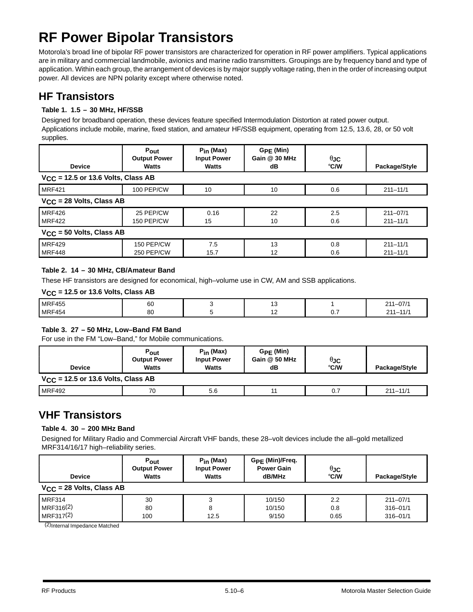# **RF Power Bipolar Transistors**

Motorola's broad line of bipolar RF power transistors are characterized for operation in RF power amplifiers. Typical applications are in military and commercial landmobile, avionics and marine radio transmitters. Groupings are by frequency band and type of application. Within each group, the arrangement of devices is by major supply voltage rating, then in the order of increasing output power. All devices are NPN polarity except where otherwise noted.

## **HF Transistors**

### **Table 1. 1.5 – 30 MHz, HF/SSB**

Designed for broadband operation, these devices feature specified Intermodulation Distortion at rated power output. Applications include mobile, marine, fixed station, and amateur HF/SSB equipment, operating from 12.5, 13.6, 28, or 50 volt supplies.

|                                                | Pout<br><b>Output Power</b> | $P_{in}$ (Max)<br><b>Input Power</b> | $G_{PE}$ (Min)<br>Gain @ 30 MHz | $\theta$ JC   |               |  |  |
|------------------------------------------------|-----------------------------|--------------------------------------|---------------------------------|---------------|---------------|--|--|
| <b>Device</b>                                  | <b>Watts</b>                | Watts                                | dB                              | $\degree$ C/W | Package/Style |  |  |
| $V_{\text{CC}}$ = 12.5 or 13.6 Volts, Class AB |                             |                                      |                                 |               |               |  |  |
| <b>MRF421</b>                                  | 100 PEP/CW                  | 10                                   | 10                              | 0.6           | $211 - 11/1$  |  |  |
| $V_{CC}$ = 28 Volts, Class AB                  |                             |                                      |                                 |               |               |  |  |
| <b>MRF426</b>                                  | 25 PEP/CW                   | 0.16                                 | 22                              | 2.5           | $211 - 07/1$  |  |  |
| <b>MRF422</b>                                  | 150 PEP/CW                  | 15                                   | 10                              | 0.6           | $211 - 11/1$  |  |  |
| $V_{CC}$ = 50 Volts, Class AB                  |                             |                                      |                                 |               |               |  |  |
| <b>MRF429</b>                                  | 150 PEP/CW                  | 7.5                                  | 13                              | 0.8           | $211 - 11/1$  |  |  |
| <b>MRF448</b>                                  | <b>250 PEP/CW</b>           | 15.7                                 | 12                              | 0.6           | $211 - 11/1$  |  |  |

### **Table 2. 14 – 30 MHz, CB/Amateur Band**

These HF transistors are designed for economical, high–volume use in CW, AM and SSB applications.

**VCC = 12.5 or 13.6 Volts, Class AB**

| <b>MRF455</b><br>$\sim$ $\sim$ | n r<br>οU | w<br>$\sim$ | $\sim$ $\sim$ $\sim$<br>υı |
|--------------------------------|-----------|-------------|----------------------------|
| <b>MRF454</b>                  | n c<br>ou | --          | 24A                        |

### **Table 3. 27 – 50 MHz, Low–Band FM Band**

For use in the FM "Low–Band," for Mobile communications.

| <b>Device</b>                                  | $P_{\text{out}}$<br><b>Output Power</b><br><b>Watts</b> | $P_{in}$ (Max)<br><b>Input Power</b><br>Watts | $G_{\mathsf{PF}}$ (Min)<br>Gain @ 50 MHz<br>dB | $\theta$ JC<br>$\degree$ C/W | Package/Style |
|------------------------------------------------|---------------------------------------------------------|-----------------------------------------------|------------------------------------------------|------------------------------|---------------|
| $V_{\text{CC}}$ = 12.5 or 13.6 Volts, Class AB |                                                         |                                               |                                                |                              |               |
| MRF492                                         | 70                                                      | 5.6                                           |                                                | 0.7                          | $211 - 11/1$  |

### **VHF Transistors**

### **Table 4. 30 – 200 MHz Band**

Designed for Military Radio and Commercial Aircraft VHF bands, these 28–volt devices include the all–gold metallized MRF314/16/17 high–reliability series.

| <b>Device</b>                       | $P_{\rm out}$<br><b>Output Power</b><br><b>Watts</b> | $P_{in}$ (Max)<br><b>Input Power</b><br><b>Watts</b> | $G_{\mathsf{PF}}$ (Min)/Freq.<br><b>Power Gain</b><br>dB/MHz | $\theta$ JC<br>$\degree$ C/W | Package/Style |
|-------------------------------------|------------------------------------------------------|------------------------------------------------------|--------------------------------------------------------------|------------------------------|---------------|
| $V_{\text{C}}$ = 28 Volts, Class AB |                                                      |                                                      |                                                              |                              |               |
| <b>MRF314</b>                       | 30                                                   |                                                      | 10/150                                                       | 2.2                          | $211 - 07/1$  |
| MRF316 <sup>(2)</sup>               | 80                                                   |                                                      | 10/150                                                       | 0.8                          | $316 - 01/1$  |
| MRF317 <sup>(2)</sup>               | 100                                                  | 12.5                                                 | 9/150                                                        | 0.65                         | $316 - 01/1$  |

(2)Internal Impedance Matched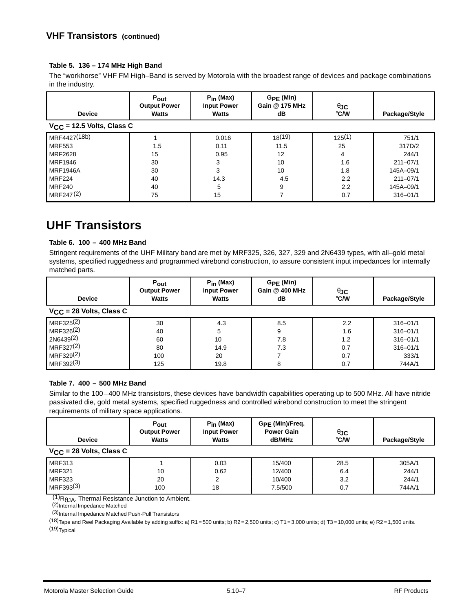### **Table 5. 136 – 174 MHz High Band**

The "workhorse" VHF FM High–Band is served by Motorola with the broadest range of devices and package combinations in the industry.

| <b>Device</b>                  | Pout<br><b>Output Power</b><br>Watts | $P_{in}$ (Max)<br><b>Input Power</b><br><b>Watts</b> | GPE(Min)<br>Gain @ 175 MHz<br>dB | $\theta$ JC<br>$\degree$ C/W | Package/Style |
|--------------------------------|--------------------------------------|------------------------------------------------------|----------------------------------|------------------------------|---------------|
| $V_{CC}$ = 12.5 Volts, Class C |                                      |                                                      |                                  |                              |               |
| MRF4427(18b)                   |                                      | 0.016                                                | 18(19)                           | 125(1)                       | 751/1         |
| <b>MRF553</b>                  | 1.5                                  | 0.11                                                 | 11.5                             | 25                           | 317D/2        |
| MRF2628                        | 15                                   | 0.95                                                 | 12                               | 4                            | 244/1         |
| MRF1946                        | 30                                   | 3                                                    | 10                               | 1.6                          | $211 - 07/1$  |
| <b>MRF1946A</b>                | 30                                   | 3                                                    | 10                               | 1.8                          | 145A-09/1     |
| <b>MRF224</b>                  | 40                                   | 14.3                                                 | 4.5                              | 2.2                          | $211 - 07/1$  |
| <b>MRF240</b>                  | 40                                   | 5                                                    | 9                                | 2.2                          | 145A-09/1     |
| MRF247(2)                      | 75                                   | 15                                                   |                                  | 0.7                          | $316 - 01/1$  |

## **UHF Transistors**

### **Table 6. 100 – 400 MHz Band**

Stringent requirements of the UHF Military band are met by MRF325, 326, 327, 329 and 2N6439 types, with all–gold metal systems, specified ruggedness and programmed wirebond construction, to assure consistent input impedances for internally matched parts.

| <b>Device</b>                | Pout<br><b>Output Power</b><br><b>Watts</b> | $P_{in}$ (Max)<br><b>Input Power</b><br>Watts | $G_{PF}$ (Min)<br>Gain @ 400 MHz<br>dВ | $\theta$ JC<br>$^{\circ}$ C/W | Package/Style |
|------------------------------|---------------------------------------------|-----------------------------------------------|----------------------------------------|-------------------------------|---------------|
| $V_{CC}$ = 28 Volts, Class C |                                             |                                               |                                        |                               |               |
| $MRF325^{(2)}$               | 30                                          | 4.3                                           | 8.5                                    | $2.2^{\circ}$                 | $316 - 01/1$  |
| $MRF326^{(2)}$               | 40                                          |                                               | 9                                      | 1.6                           | $316 - 01/1$  |
| 2N6439(2)                    | 60                                          | 10                                            | 7.8                                    | 1.2                           | $316 - 01/1$  |
| MRF327 <sup>(2)</sup>        | 80                                          | 14.9                                          | 7.3                                    | 0.7                           | $316 - 01/1$  |
| MRF329(2)                    | 100                                         | 20                                            |                                        | 0.7                           | 333/1         |
| MRF392(3)                    | 125                                         | 19.8                                          | 8                                      | 0.7                           | 744A/1        |

### **Table 7. 400 – 500 MHz Band**

Similar to the 100–400 MHz transistors, these devices have bandwidth capabilities operating up to 500 MHz. All have nitride passivated die, gold metal systems, specified ruggedness and controlled wirebond construction to meet the stringent requirements of military space applications.

| <b>Device</b>                       | Pout<br><b>Output Power</b><br><b>Watts</b> | $P_{in}$ (Max)<br><b>Input Power</b><br><b>Watts</b> | G <sub>PE</sub> (Min)/Freq.<br><b>Power Gain</b><br>dB/MHz | $\theta$ JC<br>$\degree$ C/W | Package/Style |
|-------------------------------------|---------------------------------------------|------------------------------------------------------|------------------------------------------------------------|------------------------------|---------------|
| $V_{\text{CC}}$ = 28 Volts, Class C |                                             |                                                      |                                                            |                              |               |
| <b>MRF313</b>                       |                                             | 0.03                                                 | 15/400                                                     | 28.5                         | 305A/1        |
| <b>MRF321</b>                       | 10                                          | 0.62                                                 | 12/400                                                     | 6.4                          | 244/1         |
| <b>MRF323</b>                       | 20                                          |                                                      | 10/400                                                     | 3.2                          | 244/1         |
| $MRF393^{(3)}$<br>$\sqrt{4}$        | 100                                         | 18                                                   | 7.5/500                                                    | 0.7                          | 744A/1        |

 $(1)$ R $_{\theta$ JA. Thermal Resistance Junction to Ambient.

(2)Internal Impedance Matched

(3)Internal Impedance Matched Push-Pull Transistors

(18) Tape and Reel Packaging Available by adding suffix: a) R1 = 500 units; b) R2 = 2,500 units; c) T1 = 3,000 units; d) T3 = 10,000 units; e) R2 = 1,500 units. (19)Typical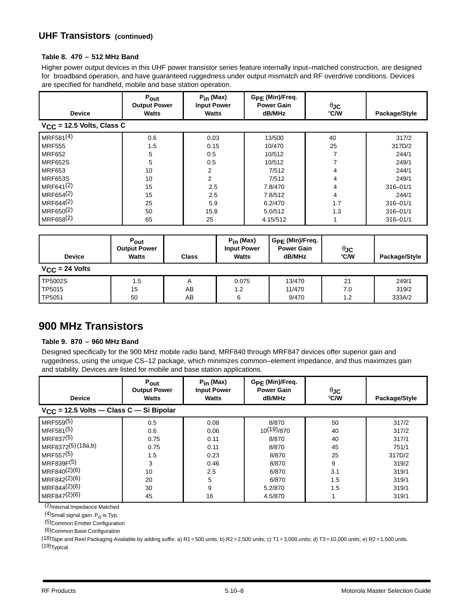### **UHF Transistors (continued)**

### **Table 8. 470 – 512 MHz Band**

Higher power output devices in this UHF power transistor series feature internally input–matched construction, are designed for broadband operation, and have guaranteed ruggedness under output mismatch and RF overdrive conditions. Devices are specified for handheld, mobile and base station operation.

| <b>Device</b>                  | Pout<br><b>Output Power</b><br>Watts | $P_{in}$ (Max)<br><b>Input Power</b><br><b>Watts</b> | G <sub>PF</sub> (Min)/Freq.<br><b>Power Gain</b><br>dB/MHz | $\theta$ JC<br>$\degree$ C/W | Package/Style |
|--------------------------------|--------------------------------------|------------------------------------------------------|------------------------------------------------------------|------------------------------|---------------|
| $V_{CC}$ = 12.5 Volts, Class C |                                      |                                                      |                                                            |                              |               |
| MRF581 <sup>(4)</sup>          | 0.6                                  | 0.03                                                 | 13/500                                                     | 40                           | 317/2         |
| <b>MRF555</b>                  | 1.5                                  | 0.15                                                 | 10/470                                                     | 25                           | 317D/2        |
| <b>MRF652</b>                  | 5                                    | 0.5                                                  | 10/512                                                     |                              | 244/1         |
| <b>MRF652S</b>                 | 5                                    | 0.5                                                  | 10/512                                                     |                              | 249/1         |
| <b>MRF653</b>                  | 10                                   | 2                                                    | 7/512                                                      | 4                            | 244/1         |
| <b>MRF653S</b>                 | 10                                   | 2                                                    | 7/512                                                      | 4                            | 249/1         |
| MRF641 <sup>(2)</sup>          | 15                                   | 2.5                                                  | 7.8/470                                                    | 4                            | $316 - 01/1$  |
| MRF654 <sup>(2)</sup>          | 15                                   | 2.5                                                  | 7.8/512                                                    | 4                            | 244/1         |
| MRF644 <sup>(2)</sup>          | 25                                   | 5.9                                                  | 6.2/470                                                    | 1.7                          | $316 - 01/1$  |
| MRF650 <sup>(2)</sup>          | 50                                   | 15.8                                                 | 5.0/512                                                    | 1.3                          | $316 - 01/1$  |
| MRF658 <sup>(2)</sup>          | 65                                   | 25                                                   | 4.15/512                                                   |                              | $316 - 01/1$  |

| <b>Device</b>       | Pout<br><b>Output Power</b><br><b>Watts</b> | <b>Class</b> | $P_{in}$ (Max)<br><b>Input Power</b><br><b>Watts</b> | GpE (Min)/Freq.<br><b>Power Gain</b><br>dB/MHz | $\theta$ JC<br>$\degree$ C/W | Package/Style |
|---------------------|---------------------------------------------|--------------|------------------------------------------------------|------------------------------------------------|------------------------------|---------------|
| $V_{CC}$ = 24 Volts |                                             |              |                                                      |                                                |                              |               |
| <b>TP5002S</b>      | 1.5                                         | Α            | 0.075                                                | 13/470                                         | 21                           | 249/1         |
| TP5015              | 15                                          | AB           | 1.2                                                  | 11/470                                         | 7.0                          | 319/2         |
| TP5051              | 50                                          | AB           | 6                                                    | 9/470                                          | 1.2                          | 333A/2        |

## **900 MHz Transistors**

### **Table 9. 870 – 960 MHz Band**

Designed specifically for the 900 MHz mobile radio band, MRF840 through MRF847 devices offer superior gain and ruggedness, using the unique CS–12 package, which minimizes common–element impedance, and thus maximizes gain and stability. Devices are listed for mobile and base station applications.

| <b>Device</b>                                | Pout<br><b>Output Power</b><br><b>Watts</b> | $P_{in}$ (Max)<br><b>Input Power</b><br><b>Watts</b> | Gp <sub>F</sub> (Min)/Freq.<br><b>Power Gain</b><br>dB/MHz | $\theta$ JC<br>$\degree$ C/W | Package/Style |
|----------------------------------------------|---------------------------------------------|------------------------------------------------------|------------------------------------------------------------|------------------------------|---------------|
| $V_{CC}$ = 12.5 Volts — Class C — Si Bipolar |                                             |                                                      |                                                            |                              |               |
| MRF559 <sup>(5)</sup>                        | 0.5                                         | 0.08                                                 | 8/870                                                      | 50                           | 317/2         |
| MRF581 <sup>(5)</sup>                        | 0.6                                         | 0.06                                                 | 10(19)/870                                                 | 40                           | 317/2         |
| MRF837 <sup>(5)</sup>                        | 0.75                                        | 0.11                                                 | 8/870                                                      | 40                           | 317/1         |
| MRF8372(5)(18a,b)                            | 0.75                                        | 0.11                                                 | 8/870                                                      | 45                           | 751/1         |
| MRF557 <sup>(5)</sup>                        | 1.5                                         | 0.23                                                 | 8/870                                                      | 25                           | 317D/2        |
| MRF839F(5)                                   | 3                                           | 0.46                                                 | 8/870                                                      | 9                            | 319/2         |
| MRF840(2)(6)                                 | 10                                          | 2.5                                                  | 6/870                                                      | 3.1                          | 319/1         |
| MRF842(2)(6)                                 | 20                                          | 5                                                    | 6/870                                                      | 1.5                          | 319/1         |
| MRF844(2)(6)                                 | 30                                          | 9                                                    | 5.2/870                                                    | 1.5                          | 319/1         |
| MRF847(2)(6)                                 | 45                                          | 16                                                   | 4.5/870                                                    |                              | 319/1         |

(2)Internal Impedance Matched

 $(4)$ Small signal gain. P<sub>o</sub> is Typ.

(5)Common Emitter Configuration

(6)Common Base Configuration

(18)Tape and Reel Packaging Available by adding suffix: a) R1=500 units; b) R2=2,500 units; c) T1=3,000 units; d) T3=10,000 units; e) R2=1,500 units.

(19)Typical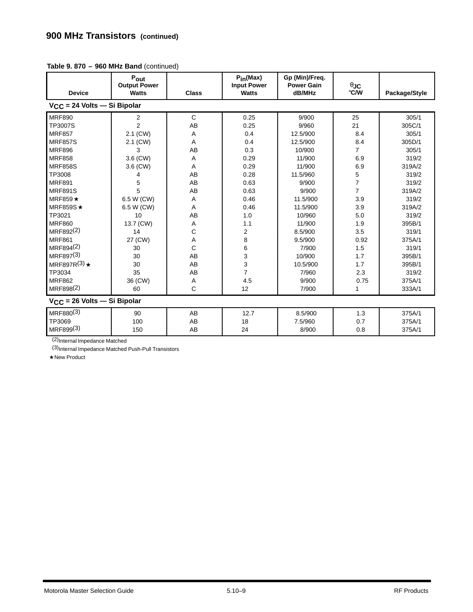## **900 MHz Transistors (continued)**

| <b>Device</b>                           | Pout<br><b>Output Power</b><br><b>Watts</b> | <b>Class</b>   | $P_{in}$ (Max)<br><b>Input Power</b><br><b>Watts</b> | Gp (Min)/Freq.<br><b>Power Gain</b><br>dB/MHz | $\theta$ JC<br>°C/W | Package/Style |  |  |  |
|-----------------------------------------|---------------------------------------------|----------------|------------------------------------------------------|-----------------------------------------------|---------------------|---------------|--|--|--|
| $V_{\text{CC}}$ = 24 Volts — Si Bipolar |                                             |                |                                                      |                                               |                     |               |  |  |  |
| <b>MRF890</b>                           | $\overline{2}$                              | $\mathsf{C}$   | 0.25                                                 | 9/900                                         | 25                  | 305/1         |  |  |  |
| TP3007S                                 | $\overline{2}$                              | AB             | 0.25                                                 | 9/960                                         | 21                  | 305C/1        |  |  |  |
| <b>MRF857</b>                           | $2.1$ (CW)                                  | Α              | 0.4                                                  | 12.5/900                                      | 8.4                 | 305/1         |  |  |  |
| <b>MRF857S</b>                          | 2.1 (CW)                                    | A              | 0.4                                                  | 12.5/900                                      | 8.4                 | 305D/1        |  |  |  |
| <b>MRF896</b>                           | 3                                           | AB             | 0.3                                                  | 10/900                                        | $\overline{7}$      | 305/1         |  |  |  |
| <b>MRF858</b>                           | 3.6 (CW)                                    | Α              | 0.29                                                 | 11/900                                        | 6.9                 | 319/2         |  |  |  |
| <b>MRF858S</b>                          | 3.6 (CW)                                    | $\overline{A}$ | 0.29                                                 | 11/900                                        | 6.9                 | 319A/2        |  |  |  |
| TP3008                                  | 4                                           | AB             | 0.28                                                 | 11.5/960                                      | 5                   | 319/2         |  |  |  |
| <b>MRF891</b>                           | 5                                           | AB             | 0.63                                                 | 9/900                                         | $\overline{7}$      | 319/2         |  |  |  |
| <b>MRF891S</b>                          | 5                                           | AB             | 0.63                                                 | 9/900                                         | $\overline{7}$      | 319A/2        |  |  |  |
| MRF859★                                 | 6.5 W (CW)                                  | Α              | 0.46                                                 | 11.5/900                                      | 3.9                 | 319/2         |  |  |  |
| MRF859S★                                | 6.5 W (CW)                                  | A              | 0.46                                                 | 11.5/900                                      | 3.9                 | 319A/2        |  |  |  |
| TP3021                                  | 10                                          | AB             | 1.0                                                  | 10/960                                        | 5.0                 | 319/2         |  |  |  |
| <b>MRF860</b>                           | 13.7 (CW)                                   | Α              | 1.1                                                  | 11/900                                        | 1.9                 | 395B/1        |  |  |  |
| MRF892 <sup>(2)</sup>                   | 14                                          | C              | 2                                                    | 8.5/900                                       | 3.5                 | 319/1         |  |  |  |
| <b>MRF861</b>                           | 27 (CW)                                     | Α              | 8                                                    | 9.5/900                                       | 0.92                | 375A/1        |  |  |  |
| MRF894(2)                               | 30                                          | $\mathsf{C}$   | 6                                                    | 7/900                                         | 1.5                 | 319/1         |  |  |  |
| MRF897(3)                               | 30                                          | AB             | 3                                                    | 10/900                                        | 1.7                 | 395B/1        |  |  |  |
| MRF897R(3) $\star$                      | 30                                          | AB             | 3                                                    | 10.5/900                                      | 1.7                 | 395B/1        |  |  |  |
| TP3034                                  | 35                                          | AB             | $\overline{7}$                                       | 7/960                                         | 2.3                 | 319/2         |  |  |  |
| <b>MRF862</b>                           | 36 (CW)                                     | A              | 4.5                                                  | 9/900                                         | 0.75                | 375A/1        |  |  |  |
| MRF898(2)                               | 60                                          | C              | 12                                                   | 7/900                                         | 1                   | 333A/1        |  |  |  |
| V <sub>CC</sub> = 26 Volts - Si Bipolar |                                             |                |                                                      |                                               |                     |               |  |  |  |
| MRF880(3)                               | 90                                          | AB             | 12.7                                                 | 8.5/900                                       | 1.3                 | 375A/1        |  |  |  |
| TP3069                                  | 100                                         | AB             | 18                                                   | 7.5/960                                       | 0.7                 | 375A/1        |  |  |  |
| MRF899(3)                               | 150                                         | AB             | 24                                                   | 8/900                                         | 0.8                 | 375A/1        |  |  |  |

**Table 9. 870 – 960 MHz Band** (continued)

(2)Internal Impedance Matched

(3)Internal Impedance Matched Push-Pull Transistors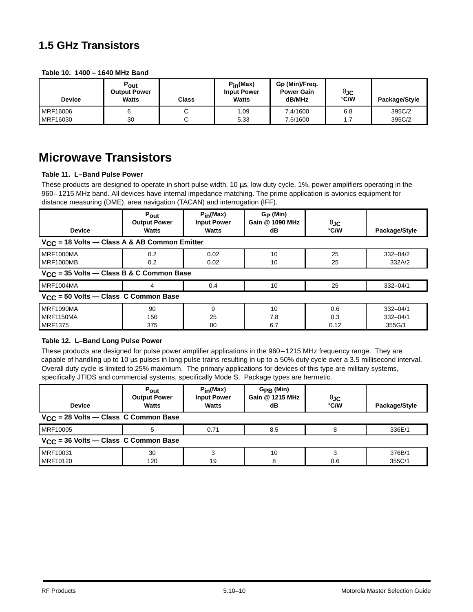## **1.5 GHz Transistors**

### **Table 10. 1400 – 1640 MHz Band**

| Device   | $P_{\mathsf{out}}$<br><b>Output Power</b><br><b>Watts</b> | <b>Class</b> | $P_{in}$ (Max)<br><b>Input Power</b><br><b>Watts</b> | Gp (Min)/Freq.<br><b>Power Gain</b><br>dB/MHz | $\theta$ JC<br>$\degree$ C/W | Package/Style |
|----------|-----------------------------------------------------------|--------------|------------------------------------------------------|-----------------------------------------------|------------------------------|---------------|
| MRF16006 | 30                                                        | С            | 1.09                                                 | 7.4/1600                                      | 6.8                          | 395C/2        |
| MRF16030 |                                                           | U            | 5.33                                                 | 7.5/1600                                      | 1.7                          | 395C/2        |

## **Microwave Transistors**

### **Table 11. L–Band Pulse Power**

These products are designed to operate in short pulse width, 10  $\mu$ s, low duty cycle, 1%, power amplifiers operating in the 960–1215 MHz band. All devices have internal impedance matching. The prime application is avionics equipment for distance measuring (DME), area navigation (TACAN) and interrogation (IFF).

| <b>Device</b>                                            | Pout<br><b>Output Power</b><br><b>Watts</b> | $P_{in}$ (Max)<br><b>Input Power</b><br><b>Watts</b> | $G_P$ (Min)<br>Gain @ 1090 MHz<br>dB | $\theta$ JC<br>°C/W | Package/Style          |  |  |  |
|----------------------------------------------------------|---------------------------------------------|------------------------------------------------------|--------------------------------------|---------------------|------------------------|--|--|--|
| V <sub>CC</sub> = 18 Volts - Class A & AB Common Emitter |                                             |                                                      |                                      |                     |                        |  |  |  |
| <b>MRF1000MA</b><br><b>MRF1000MB</b>                     | 0.2<br>0.2                                  | 0.02<br>0.02                                         | 10<br>10                             | 25<br>25            | $332 - 04/2$<br>332A/2 |  |  |  |
| V <sub>CC</sub> = 35 Volts - Class B & C Common Base     |                                             |                                                      |                                      |                     |                        |  |  |  |
| <b>MRF1004MA</b>                                         |                                             | 0.4                                                  | 10                                   | 25                  | $332 - 04/1$           |  |  |  |
| $V_{CC}$ = 50 Volts — Class C Common Base                |                                             |                                                      |                                      |                     |                        |  |  |  |
| <b>MRF1090MA</b>                                         | 90                                          | 9                                                    | 10                                   | 0.6                 | $332 - 04/1$           |  |  |  |
| <b>MRF1150MA</b>                                         | 150                                         | 25                                                   | 7.8                                  | 0.3                 | $332 - 04/1$           |  |  |  |
| <b>MRF1375</b>                                           | 375                                         | 80                                                   | 6.7                                  | 0.12                | 355G/1                 |  |  |  |

### **Table 12. L–Band Long Pulse Power**

These products are designed for pulse power amplifier applications in the 960–1215 MHz frequency range. They are capable of handling up to 10 µs pulses in long pulse trains resulting in up to a 50% duty cycle over a 3.5 millisecond interval. Overall duty cycle is limited to 25% maximum. The primary applications for devices of this type are military systems, specifically JTIDS and commercial systems, specifically Mode S. Package types are hermetic.

| <b>Device</b>                                    | Pout<br><b>Output Power</b><br>Watts | $P_{in}$ (Max)<br><b>Input Power</b><br>Watts | $G_{PR}$ (Min)<br>Gain @ 1215 MHz<br>dB | $\theta$ JC<br>$\degree$ C/W | Package/Style    |
|--------------------------------------------------|--------------------------------------|-----------------------------------------------|-----------------------------------------|------------------------------|------------------|
| V <sub>CC</sub> = 28 Volts - Class C Common Base |                                      |                                               |                                         |                              |                  |
| MRF10005                                         |                                      | 0.71                                          | 8.5                                     |                              | 336E/1           |
| $V_{CC}$ = 36 Volts — Class C Common Base        |                                      |                                               |                                         |                              |                  |
| MRF10031<br>MRF10120                             | 30<br>120                            | 19                                            | 10                                      | 0.6                          | 376B/1<br>355C/1 |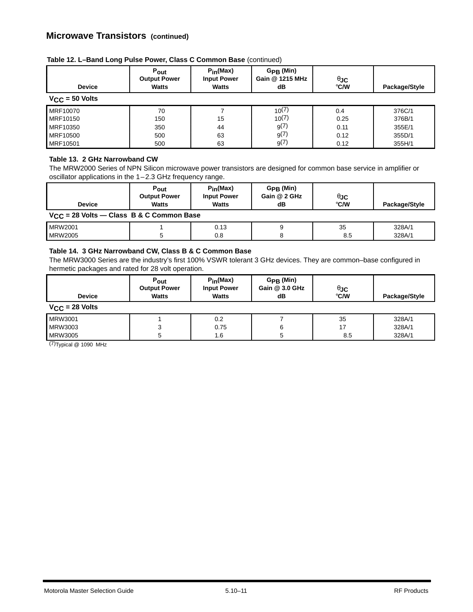### **Microwave Transistors (continued)**

| <b>Device</b>       | $P_{\text{out}}$<br><b>Output Power</b><br>Watts | $P_{in}$ (Max)<br><b>Input Power</b><br><b>Watts</b> | G <sub>PB</sub> (Min)<br>Gain @ 1215 MHz<br>dВ | $\theta$ JC<br>$\degree$ C/W | Package/Style |
|---------------------|--------------------------------------------------|------------------------------------------------------|------------------------------------------------|------------------------------|---------------|
| $V_{CC}$ = 50 Volts |                                                  |                                                      |                                                |                              |               |
| MRF10070            | 70                                               |                                                      | $10^{(7)}$                                     | 0.4                          | 376C/1        |
| MRF10150            | 150                                              | 15                                                   | $10^{(7)}$                                     | 0.25                         | 376B/1        |
| MRF10350            | 350                                              | 44                                                   | 9(7)                                           | 0.11                         | 355E/1        |
| MRF10500            | 500                                              | 63                                                   | 9(7)                                           | 0.12                         | 355D/1        |
| MRF10501            | 500                                              | 63                                                   | 9(7)                                           | 0.12                         | 355H/1        |

### **Table 12. L–Band Long Pulse Power, Class C Common Base** (continued)

### **Table 13. 2 GHz Narrowband CW**

The MRW2000 Series of NPN Silicon microwave power transistors are designed for common base service in amplifier or oscillator applications in the 1–2.3 GHz frequency range.

| <b>Device</b>                                 | $P_{\text{out}}$<br><b>Output Power</b><br><b>Watts</b> | $P_{in}$ (Max)<br><b>Input Power</b><br><b>Watts</b> | $G_{PB}$ (Min)<br>Gain @ 2 GHz<br>dB | $\theta$ JC<br>$\degree$ C/W | Package/Style |
|-----------------------------------------------|---------------------------------------------------------|------------------------------------------------------|--------------------------------------|------------------------------|---------------|
| $V_{CC}$ = 28 Volts — Class B & C Common Base |                                                         |                                                      |                                      |                              |               |
| MRW2001                                       |                                                         | 0.13                                                 |                                      | 35                           | 328A/1        |
| MRW2005                                       |                                                         | 0.8                                                  |                                      | 8.5                          | 328A/1        |

### **Table 14. 3 GHz Narrowband CW, Class B & C Common Base**

The MRW3000 Series are the industry's first 100% VSWR tolerant 3 GHz devices. They are common–base configured in hermetic packages and rated for 28 volt operation.

| <b>Device</b>              | $P_{\textrm{out}}$<br><b>Output Power</b><br><b>Watts</b> | $P_{in}$ (Max)<br><b>Input Power</b><br><b>Watts</b> | $G_{\mathsf{PB}}$ (Min)<br>Gain @ 3.0 GHz<br>dB | $\theta$ JC<br>$\degree$ C/W | Package/Style |
|----------------------------|-----------------------------------------------------------|------------------------------------------------------|-------------------------------------------------|------------------------------|---------------|
| $V_{CC}$ = 28 Volts        |                                                           |                                                      |                                                 |                              |               |
| MRW3001                    |                                                           | 0.2                                                  |                                                 | 35                           | 328A/1        |
| MRW3003                    |                                                           | 0.75                                                 |                                                 | 17                           | 328A/1        |
| MRW3005<br>$(\rightarrow)$ |                                                           | 1.6                                                  |                                                 | 8.5                          | 328A/1        |

(7)Typical @ 1090 MHz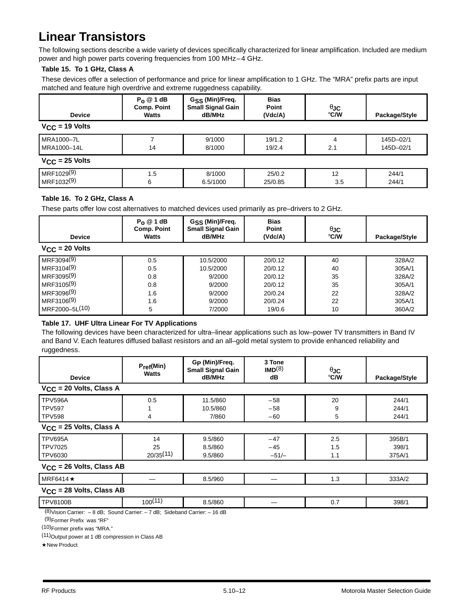# **Linear Transistors**

The following sections describe a wide variety of devices specifically characterized for linear amplification. Included are medium power and high power parts covering frequencies from 100 MHz–4 GHz.

### **Table 15. To 1 GHz, Class A**

These devices offer a selection of performance and price for linear amplification to 1 GHz. The "MRA" prefix parts are input matched and feature high overdrive and extreme ruggedness capability.

| <b>Device</b>              | $P_0 \otimes 1$ dB<br><b>Comp. Point</b><br><b>Watts</b> | G <sub>SS</sub> (Min)/Freq.<br><b>Small Signal Gain</b><br>dB/MHz | <b>Bias</b><br>Point<br>(Vdc/A) | $\theta$ JC<br>$\degree$ C/W | Package/Style          |
|----------------------------|----------------------------------------------------------|-------------------------------------------------------------------|---------------------------------|------------------------------|------------------------|
| $V_{CC}$ = 19 Volts        |                                                          |                                                                   |                                 |                              |                        |
| MRA1000-7L<br>MRA1000-14L  | 14                                                       | 9/1000<br>8/1000                                                  | 19/1.2<br>19/2.4                | 2.1                          | 145D-02/1<br>145D-02/1 |
| $V_{\text{CC}}$ = 25 Volts |                                                          |                                                                   |                                 |                              |                        |
| MRF1029(9)<br>MRF1032(9)   | 1.5<br>6                                                 | 8/1000<br>6.5/1000                                                | 25/0.2<br>25/0.85               | 12<br>3.5                    | 244/1<br>244/1         |

### **Table 16. To 2 GHz, Class A**

These parts offer low cost alternatives to matched devices used primarily as pre–drivers to 2 GHz.

| <b>Device</b>              | $P_0 \otimes 1$ dB<br><b>Comp. Point</b><br><b>Watts</b> | G <sub>SS</sub> (Min)/Freq.<br><b>Small Signal Gain</b><br>dB/MHz | <b>Bias</b><br>Point<br>(Vdc/A) | $\theta$ JC<br>°C/W | Package/Style |
|----------------------------|----------------------------------------------------------|-------------------------------------------------------------------|---------------------------------|---------------------|---------------|
| $V_{\text{CC}}$ = 20 Volts |                                                          |                                                                   |                                 |                     |               |
| $MRF3094^{(9)}$            | 0.5                                                      | 10.5/2000                                                         | 20/0.12                         | 40                  | 328A/2        |
| MRF3104 <sup>(9)</sup>     | 0.5                                                      | 10.5/2000                                                         | 20/0.12                         | 40                  | 305A/1        |
| MRF3095(9)                 | 0.8                                                      | 9/2000                                                            | 20/0.12                         | 35                  | 328A/2        |
| MRF3105 <sup>(9)</sup>     | 0.8                                                      | 9/2000                                                            | 20/0.12                         | 35                  | 305A/1        |
| MRF3096(9)                 | 1.6                                                      | 9/2000                                                            | 20/0.24                         | 22                  | 328A/2        |
| MRF3106 <sup>(9)</sup>     | 1.6                                                      | 9/2000                                                            | 20/0.24                         | 22                  | 305A/1        |
| MRF2000-5L(10)             | 5                                                        | 7/2000                                                            | 19/0.6                          | 10                  | 360A/2        |

### **Table 17. UHF Ultra Linear For TV Applications**

The following devices have been characterized for ultra–linear applications such as low–power TV transmitters in Band IV and Band V. Each features diffused ballast resistors and an all–gold metal system to provide enhanced reliability and ruggedness.

| <b>Device</b>                 | $P_{ref}(Min)$<br><b>Watts</b> | Gp (Min)/Freq.<br><b>Small Signal Gain</b><br>dB/MHz | 3 Tone<br>IMD(8)<br>dB | $\theta$ JC<br>$\degree$ C/W | Package/Style |  |  |  |  |
|-------------------------------|--------------------------------|------------------------------------------------------|------------------------|------------------------------|---------------|--|--|--|--|
| $V_{CC}$ = 20 Volts, Class A  |                                |                                                      |                        |                              |               |  |  |  |  |
| <b>TPV596A</b>                | 0.5                            | 11.5/860                                             | $-58$                  | 20                           | 244/1         |  |  |  |  |
| <b>TPV597</b>                 |                                | 10.5/860                                             | $-58$                  | 9                            | 244/1         |  |  |  |  |
| <b>TPV598</b>                 | 4                              | 7/860                                                | $-60$                  | 5                            | 244/1         |  |  |  |  |
| $V_{CC}$ = 25 Volts, Class A  |                                |                                                      |                        |                              |               |  |  |  |  |
| <b>TPV695A</b>                | 14                             | 9.5/860                                              | $-47$                  | 2.5                          | 395B/1        |  |  |  |  |
| <b>TPV7025</b>                | 25                             | 8.5/860                                              | $-45$                  | 1.5                          | 398/1         |  |  |  |  |
| TPV6030                       | 20/35(11)                      | 9.5/860                                              | $-51/-$                | 1.1                          | 375A/1        |  |  |  |  |
| $VCC = 26$ Volts, Class AB    |                                |                                                      |                        |                              |               |  |  |  |  |
| MRF6414 $\star$               |                                | 8.5/960                                              |                        | 1.3                          | 333A/2        |  |  |  |  |
| $V_{CC}$ = 28 Volts, Class AB |                                |                                                      |                        |                              |               |  |  |  |  |
| <b>TPV8100B</b>               | 100(11)                        | 8.5/860                                              |                        | 0.7                          | 398/1         |  |  |  |  |
| $\frac{8}{100}$               |                                |                                                      |                        |                              |               |  |  |  |  |

(8)Vision Carrier: – 8 dB; Sound Carrier: – 7 dB; Sideband Carrier: – 16 dB

(9)Former Prefix was "RF"

(10)Former prefix was "MRA."

(11)Output power at 1 dB compression in Class AB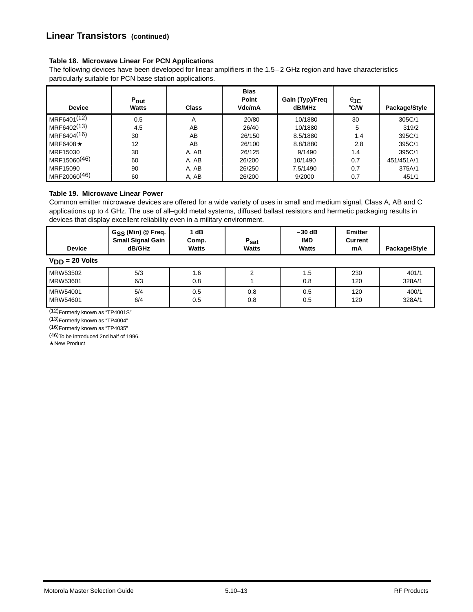### **Linear Transistors (continued)**

#### **Table 18. Microwave Linear For PCN Applications**

The following devices have been developed for linear amplifiers in the 1.5–2 GHz region and have characteristics particularly suitable for PCN base station applications.

| <b>Device</b>            | Pout<br>Watts | <b>Class</b> | <b>Bias</b><br>Point<br>Vdc/mA | Gain (Typ)/Freq<br>dB/MHz | $\theta$ JC<br>°C⁄W | Package/Style |
|--------------------------|---------------|--------------|--------------------------------|---------------------------|---------------------|---------------|
| MRF6401(12)              | 0.5           | A            | 20/80                          | 10/1880                   | 30                  | 305C/1        |
| MRF6402(13)              | 4.5           | AB           | 26/40                          | 10/1880                   | 5                   | 319/2         |
| MRF6404 <sup>(16)</sup>  | 30            | AB           | 26/150                         | 8.5/1880                  | 1.4                 | 395C/1        |
| MRF6408 $\star$          | 12            | AB           | 26/100                         | 8.8/1880                  | 2.8                 | 395C/1        |
| MRF15030                 | 30            | A, AB        | 26/125                         | 9/1490                    | 1.4                 | 395C/1        |
| MRF15060 <sup>(46)</sup> | 60            | A, AB        | 26/200                         | 10/1490                   | 0.7                 | 451/451A/1    |
| MRF15090                 | 90            | A, AB        | 26/250                         | 7.5/1490                  | 0.7                 | 375A/1        |
| MRF20060 <sup>(46)</sup> | 60            | A, AB        | 26/200                         | 9/2000                    | 0.7                 | 451/1         |

### **Table 19. Microwave Linear Power**

Common emitter microwave devices are offered for a wide variety of uses in small and medium signal, Class A, AB and C applications up to 4 GHz. The use of all–gold metal systems, diffused ballast resistors and hermetic packaging results in devices that display excellent reliability even in a military environment.

| <b>Device</b>                | G <sub>SS</sub> (Min) @ Freq.<br><b>Small Signal Gain</b><br>dB/GHz | 1 dB<br>Comp.<br><b>Watts</b> | Psat<br><b>Watts</b> | $-30$ dB<br><b>IMD</b><br><b>Watts</b> | Emitter<br><b>Current</b><br>mA | Package/Style   |
|------------------------------|---------------------------------------------------------------------|-------------------------------|----------------------|----------------------------------------|---------------------------------|-----------------|
| $VDD = 20 Volts$             |                                                                     |                               |                      |                                        |                                 |                 |
| MRW53502<br>MRW53601         | 5/3<br>6/3                                                          | 1.6<br>0.8                    |                      | 1.5<br>0.8                             | 230<br>120                      | 401/1<br>328A/1 |
| MRW54001<br>MRW54601<br>(40) | 5/4<br>6/4                                                          | 0.5<br>0.5                    | 0.8<br>0.8           | 0.5<br>0.5                             | 120<br>120                      | 400/1<br>328A/1 |

(12)Formerly known as "TP4001S"

(13)Formerly known as "TP4004"

(16)Formerly known as "TP4035"

(46)To be introduced 2nd half of 1996.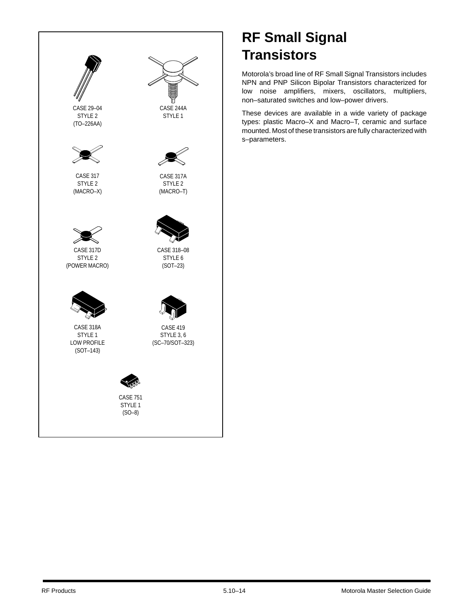

# **RF Small Signal Transistors**

Motorola's broad line of RF Small Signal Transistors includes NPN and PNP Silicon Bipolar Transistors characterized for low noise amplifiers, mixers, oscillators, multipliers, non–saturated switches and low–power drivers.

These devices are available in a wide variety of package types: plastic Macro–X and Macro–T, ceramic and surface mounted. Most of these transistors are fully characterized with s–parameters.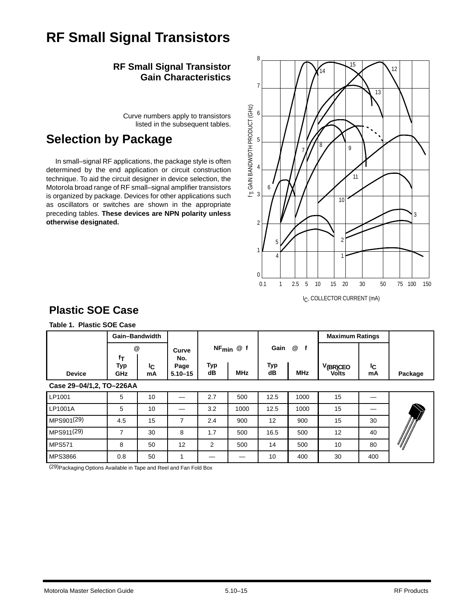# **RF Small Signal Transistors**

### **RF Small Signal Transistor Gain Characteristics**

Curve numbers apply to transistors listed in the subsequent tables.

## **Selection by Package**

In small–signal RF applications, the package style is often determined by the end application or circuit construction technique. To aid the circuit designer in device selection, the Motorola broad range of RF small–signal amplifier transistors is organized by package. Devices for other applications such as oscillators or switches are shown in the appropriate preceding tables. **These devices are NPN polarity unless otherwise designated.**



### **Plastic SOE Case**

#### **Table 1. Plastic SOE Case**

|                          | Gain-Bandwidth   |          |                            |                |                |                | <b>Maximum Ratings</b> |                             |          |         |
|--------------------------|------------------|----------|----------------------------|----------------|----------------|----------------|------------------------|-----------------------------|----------|---------|
|                          | @                |          | Curve                      |                | $NF_{min}$ @ f | @<br>Gain<br>f |                        |                             |          |         |
| <b>Device</b>            | fτ<br>Typ<br>GHz | Ιc<br>mA | No.<br>Page<br>$5.10 - 15$ | Typ<br>dB      | <b>MHz</b>     | Typ<br>dB      | <b>MHz</b>             | $V$ (BR)CEO<br><b>Volts</b> | Iс<br>mA | Package |
| Case 29-04/1,2, TO-226AA |                  |          |                            |                |                |                |                        |                             |          |         |
|                          |                  |          |                            |                |                |                |                        |                             |          |         |
| LP1001                   | 5                | 10       |                            | 2.7            | 500            | 12.5           | 1000                   | 15                          |          |         |
| LP1001A                  | 5                | 10       |                            | 3.2            | 1000           | 12.5           | 1000                   | 15                          |          |         |
| MPS901(29)               | 4.5              | 15       | $\overline{7}$             | 2.4            | 900            | 12             | 900                    | 15                          | 30       |         |
| MPS911 <sup>(29)</sup>   | 7                | 30       | 8                          | 1.7            | 500            | 16.5           | 500                    | 12                          | 40       |         |
| <b>MPS571</b>            | 8                | 50       | 12                         | $\overline{2}$ | 500            | 14             | 500                    | 10                          | 80       |         |
| MPS3866                  | 0.8              | 50       |                            |                |                | 10             | 400                    | 30                          | 400      |         |

(29)Packaging Options Available in Tape and Reel and Fan Fold Box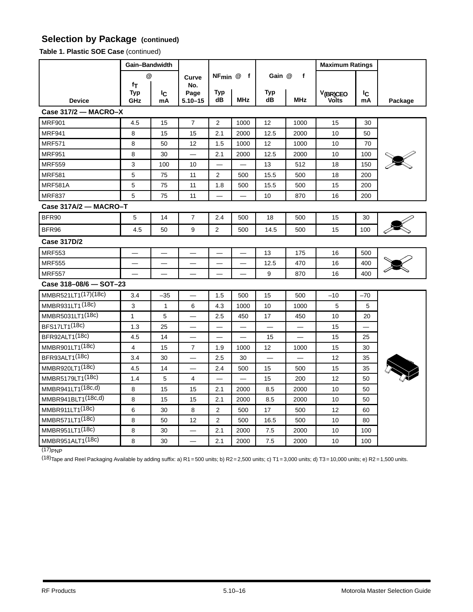### **Selection by Package (continued)**

**Table 1. Plastic SOE Case** (continued)

|                             | Gain-Bandwidth |              |                          |                |                          |           |             | <b>Maximum Ratings</b>         |           |         |
|-----------------------------|----------------|--------------|--------------------------|----------------|--------------------------|-----------|-------------|--------------------------------|-----------|---------|
|                             | $^{\circledR}$ |              | Curve                    |                | $NF_{min} @ f$           | Gain @    | $\mathbf f$ |                                |           |         |
|                             | fτ             |              | No.                      |                |                          |           |             |                                |           |         |
| <b>Device</b>               | Typ<br>GHz     | Iс<br>mA     | Page<br>$5.10 - 15$      | Typ<br>dВ      | <b>MHz</b>               | Typ<br>dB | <b>MHz</b>  | V <sub>(BR)</sub> CEO<br>Volts | lc.<br>mA | Package |
| Case $317/2$ - MACRO-X      |                |              |                          |                |                          |           |             |                                |           |         |
| <b>MRF901</b>               | 4.5            | 15           | $\overline{7}$           | $\mathbf{2}$   | 1000                     | 12        | 1000        | 15                             | 30        |         |
| <b>MRF941</b>               | 8              | 15           | 15                       | 2.1            | 2000                     | 12.5      | 2000        | 10                             | 50        |         |
| <b>MRF571</b>               | 8              | 50           | 12                       | 1.5            | 1000                     | 12        | 1000        | 10                             | 70        |         |
| <b>MRF951</b>               | 8              | 30           |                          | 2.1            | 2000                     | 12.5      | 2000        | 10                             | 100       |         |
| <b>MRF559</b>               | 3              | 100          | 10                       |                |                          | 13        | 512         | 18                             | 150       |         |
| <b>MRF581</b>               | 5              | 75           | 11                       | 2              | 500                      | 15.5      | 500         | 18                             | 200       |         |
| <b>MRF581A</b>              | 5              | 75           | 11                       | 1.8            | 500                      | 15.5      | 500         | 15                             | 200       |         |
| <b>MRF837</b>               | 5              | 75           | 11                       |                |                          | 10        | 870         | 16                             | 200       |         |
| Case 317A/2 - MACRO-T       |                |              |                          |                |                          |           |             |                                |           |         |
| BFR90                       | 5              | 14           | $\overline{7}$           | 2.4            | 500                      | 18        | 500         | 15                             | 30        |         |
| BFR96                       | 4.5            | 50           | 9                        | $\overline{2}$ | 500                      | 14.5      | 500         | 15                             | 100       |         |
| <b>Case 317D/2</b>          |                |              |                          |                |                          |           |             |                                |           |         |
| <b>MRF553</b>               |                |              | $\overline{\phantom{0}}$ |                |                          | 13        | 175         | 16                             | 500       |         |
| <b>MRF555</b>               | —              | —            | —                        | $\equiv$       | $\equiv$                 | 12.5      | 470         | 16                             | 400       |         |
| <b>MRF557</b>               | $\equiv$       | $\equiv$     | $\overline{\phantom{0}}$ |                | $\overline{\phantom{0}}$ | 9         | 870         | 16                             | 400       |         |
| Case 318-08/6 - SOT-23      |                |              |                          |                |                          |           |             |                                |           |         |
| MMBR521LT1(17)(18c)         | 3.4            | $-35$        |                          | 1.5            | 500                      | 15        | 500         | $-10$                          | $-70$     |         |
| MMBR931LT1 (18c)            | 3              | $\mathbf{1}$ | 6                        | 4.3            | 1000                     | 10        | 1000        | 5                              | 5         |         |
| MMBR5031LT1(18c)            | $\mathbf{1}$   | 5            |                          | 2.5            | 450                      | 17        | 450         | 10                             | 20        |         |
| <b>BFS17LT1(18c)</b>        | 1.3            | 25           |                          |                |                          |           |             | 15                             |           |         |
| BFR92ALT1 <sup>(18c)</sup>  | 4.5            | 14           |                          |                |                          | 15        |             | 15                             | 25        |         |
| MMBR901LT1(18c)             | 4              | 15           | $\overline{7}$           | 1.9            | 1000                     | 12        | 1000        | 15                             | 30        |         |
| BFR93ALT1(18c)              | 3.4            | 30           |                          | 2.5            | 30                       |           |             | 12                             | 35        |         |
| MMBR920LT1(18c)             | 4.5            | 14           |                          | 2.4            | 500                      | 15        | 500         | 15                             | 35        |         |
| MMBR5179LT1(18c)            | 1.4            | 5            | 4                        |                |                          | 15        | 200         | 12                             | 50        |         |
| MMBR941LT1(18c,d)           | 8              | 15           | 15                       | 2.1            | 2000                     | 8.5       | 2000        | 10                             | 50        |         |
| MMBR941BLT1(18c,d)          | 8              | 15           | 15                       | 2.1            | 2000                     | 8.5       | 2000        | 10                             | 50        |         |
| MMBR911LT1(18c)             | 6              | 30           | 8                        | $\overline{2}$ | 500                      | 17        | 500         | 12                             | 60        |         |
| MMBR571LT1 <sup>(18c)</sup> | 8              | 50           | 12                       | $\overline{2}$ | 500                      | 16.5      | 500         | 10                             | 80        |         |
| MMBR951LT1 <sup>(18c)</sup> | 8              | 30           |                          | 2.1            | 2000                     | 7.5       | 2000        | 10                             | 100       |         |
| MMBR951ALT1(18c)            | 8              | 30           |                          | 2.1            | 2000                     | 7.5       | 2000        | 10                             | 100       |         |

 $(17)$ PNP

(18)Tape and Reel Packaging Available by adding suffix: a) R1=500 units; b) R2=2,500 units; c) T1=3,000 units; d) T3=10,000 units; e) R2=1,500 units.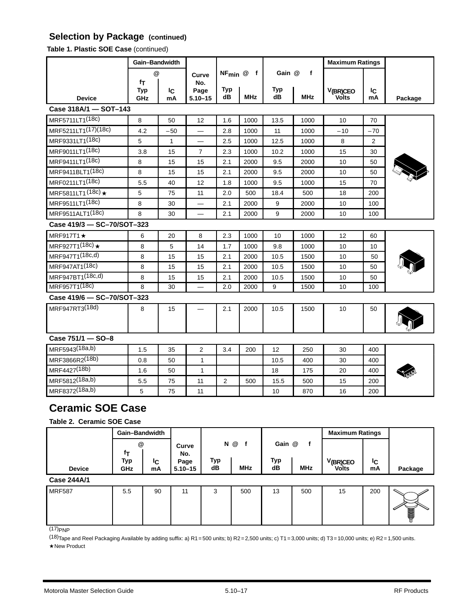### **Selection by Package (continued)**

**Table 1. Plastic SOE Case** (continued)

|                              | Gain-Bandwidth        |                            |                          |                          |                          |           |             | <b>Maximum Ratings</b>         |                |         |
|------------------------------|-----------------------|----------------------------|--------------------------|--------------------------|--------------------------|-----------|-------------|--------------------------------|----------------|---------|
|                              | @<br>$f_{\mathsf{T}}$ |                            | Curve<br>No.             |                          | $NF_{min} @ f$           | Gain @    | $\mathbf f$ |                                |                |         |
| <b>Device</b>                | Typ<br>GHz            | <b>I<sub>C</sub></b><br>mA | Page<br>$5.10 - 15$      | Typ<br>dB                | MHz                      | Typ<br>dB | <b>MHz</b>  | V <sub>(BR)</sub> CEO<br>Volts | lc.<br>mA      | Package |
| Case 318A/1 - SOT-143        |                       |                            |                          |                          |                          |           |             |                                |                |         |
| MRF5711LT1(18c)              | 8                     | 50                         | 12                       | 1.6                      | 1000                     | 13.5      | 1000        | 10                             | 70             |         |
| MRF5211LT1(17)(18c)          | 4.2                   | $-50$                      |                          | 2.8                      | 1000                     | 11        | 1000        | $-10$                          | $-70$          |         |
| MRF9331LT1(18c)              | $\sqrt{5}$            | $\mathbf{1}$               |                          | 2.5                      | 1000                     | 12.5      | 1000        | 8                              | $\overline{2}$ |         |
| MRF9011LT1(18c)              | 3.8                   | 15                         | $\overline{7}$           | 2.3                      | 1000                     | 10.2      | 1000        | 15                             | 30             |         |
| MRF9411LT1 <sup>(18c)</sup>  | 8                     | 15                         | 15                       | 2.1                      | 2000                     | 9.5       | 2000        | 10                             | 50             |         |
| MRF9411BLT1 <sup>(18c)</sup> | 8                     | 15                         | 15                       | 2.1                      | 2000                     | 9.5       | 2000        | 10                             | 50             |         |
| MRF0211LT1(18c)              | 5.5                   | 40                         | 12                       | 1.8                      | 1000                     | 9.5       | 1000        | 15                             | 70             |         |
| MRF5811LT1 (18c) ★           | 5                     | 75                         | 11                       | 2.0                      | 500                      | 18.4      | 500         | 18                             | 200            |         |
| MRF9511LT1(18c)              | 8                     | 30                         | $\overline{\phantom{0}}$ | 2.1                      | 2000                     | 9         | 2000        | 10                             | 100            |         |
| MRF9511ALT1(18c)             | 8                     | 30                         | $\equiv$                 | 2.1                      | 2000                     | 9         | 2000        | 10                             | 100            |         |
| Case 419/3 - SC-70/SOT-323   |                       |                            |                          |                          |                          |           |             |                                |                |         |
| MRF917T1 $\star$             | 6                     | 20                         | 8                        | 2.3                      | 1000                     | 10        | 1000        | 12                             | 60             |         |
| MRF927T1(18c) ★              | 8                     | 5                          | 14                       | 1.7                      | 1000                     | 9.8       | 1000        | 10                             | 10             |         |
| MRF947T1(18c,d)              | 8                     | 15                         | 15                       | 2.1                      | 2000                     | 10.5      | 1500        | 10                             | 50             |         |
| MRF947AT1(18c)               | 8                     | 15                         | 15                       | 2.1                      | 2000                     | 10.5      | 1500        | 10                             | 50             |         |
| MRF947BT1(18c,d)             | 8                     | 15                         | 15                       | 2.1                      | 2000                     | 10.5      | 1500        | 10                             | 50             |         |
| MRF957T1(18c)                | 8                     | 30                         | $\overline{\phantom{a}}$ | 2.0                      | 2000                     | 9         | 1500        | 10                             | 100            |         |
| Case 419/6 - SC-70/SOT-323   |                       |                            |                          |                          |                          |           |             |                                |                |         |
| MRF947RT3(18d)               | 8                     | 15                         |                          | 2.1                      | 2000                     | 10.5      | 1500        | 10                             | 50             |         |
| Case 751/1 - SO-8            |                       |                            |                          |                          |                          |           |             |                                |                |         |
| MRF5943(18a,b)               | 1.5                   | 35                         | $\overline{2}$           | 3.4                      | 200                      | 12        | 250         | 30                             | 400            |         |
| MRF3866R2(18b)               | 0.8                   | 50                         | $\mathbf{1}$             | $\overline{\phantom{0}}$ |                          | 10.5      | 400         | 30                             | 400            |         |
| MRF4427(18b)                 | 1.6                   | 50                         | $\mathbf{1}$             | $\overline{\phantom{0}}$ | $\overline{\phantom{0}}$ | 18        | 175         | 20                             | 400            |         |
| MRF5812(18a,b)               | 5.5                   | 75                         | 11                       | $\overline{2}$           | 500                      | 15.5      | 500         | 15                             | 200            |         |
| MRF8372(18a,b)               | 5                     | 75                         | 11                       |                          |                          | 10        | 870         | 16                             | 200            |         |

## **Ceramic SOE Case**

### **Table 2. Ceramic SOE Case**

|                    | Gain-Bandwidth    |          |                     |             |            |             |            | <b>Maximum Ratings</b>      |          |                  |
|--------------------|-------------------|----------|---------------------|-------------|------------|-------------|------------|-----------------------------|----------|------------------|
|                    | @<br>fτ           |          | Curve<br>No.        | @<br>N<br>f |            | Gain @<br>f |            |                             |          |                  |
| <b>Device</b>      | <b>Typ</b><br>GHz | Ιc<br>mA | Page<br>$5.10 - 15$ | Typ<br>dB   | <b>MHz</b> | Typ<br>dB   | <b>MHz</b> | $V$ (BR)CEO<br><b>Volts</b> | Iс<br>mA | Package          |
| <b>Case 244A/1</b> |                   |          |                     |             |            |             |            |                             |          |                  |
| <b>MRF587</b>      | 5.5               | 90       | 11                  | 3           | 500        | 13          | 500        | 15                          | 200      | <b>EN MARKET</b> |

 $(17)$ PNP

(18)Tape and Reel Packaging Available by adding suffix: a)  $R1 = 500$  units; b)  $R2 = 2,500$  units; c) T1 = 3,000 units; d) T3 = 10,000 units; e)  $R2 = 1,500$  units.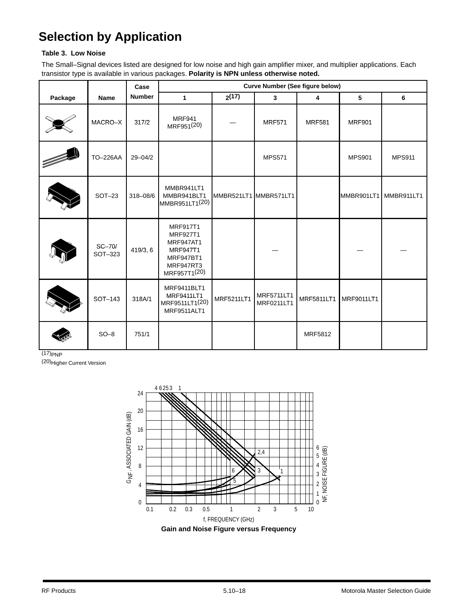# **Selection by Application**

### **Table 3. Low Noise**

The Small–Signal devices listed are designed for low noise and high gain amplifier mixer, and multiplier applications. Each transistor type is available in various packages. **Polarity is NPN unless otherwise noted.**

|         |                     | Case          |                                                                                                                                        |                       | <b>Curve Number (See figure below)</b> |                         |               |               |
|---------|---------------------|---------------|----------------------------------------------------------------------------------------------------------------------------------------|-----------------------|----------------------------------------|-------------------------|---------------|---------------|
| Package | <b>Name</b>         | <b>Number</b> | $\mathbf{1}$                                                                                                                           | 2(17)                 | 3                                      | $\overline{\mathbf{4}}$ | 5             | 6             |
|         | MACRO-X             | 317/2         | <b>MRF941</b><br>MRF951(20)                                                                                                            |                       | <b>MRF571</b>                          | <b>MRF581</b>           | <b>MRF901</b> |               |
|         | TO-226AA            | $29 - 04/2$   |                                                                                                                                        |                       | <b>MPS571</b>                          |                         | <b>MPS901</b> | <b>MPS911</b> |
|         | SOT-23              | 318-08/6      | MMBR941LT1<br>MMBR941BLT1<br>MMBR951LT1 <sup>(20)</sup>                                                                                | MMBR521LT1 MMBR571LT1 |                                        |                         | MMBR901LT1    | MMBR911LT1    |
|         | $SC-70/$<br>SOT-323 | 419/3, 6      | <b>MRF917T1</b><br><b>MRF927T1</b><br><b>MRF947AT1</b><br><b>MRF947T1</b><br><b>MRF947BT1</b><br>MRF947RT3<br>MRF957T1 <sup>(20)</sup> |                       |                                        |                         |               |               |
|         | SOT-143             | 318A/1        | MRF9411BLT1<br>MRF9411LT1<br>MRF9511LT1 <sup>(20)</sup><br>MRF9511ALT1                                                                 | MRF5211LT1            | MRF5711LT1<br>MRF0211LT1               | MRF5811LT1              | MRF9011LT1    |               |
|         | $SO-8$              | 751/1         |                                                                                                                                        |                       |                                        | MRF5812                 |               |               |

 $(17)$ PNP

(20)Higher Current Version

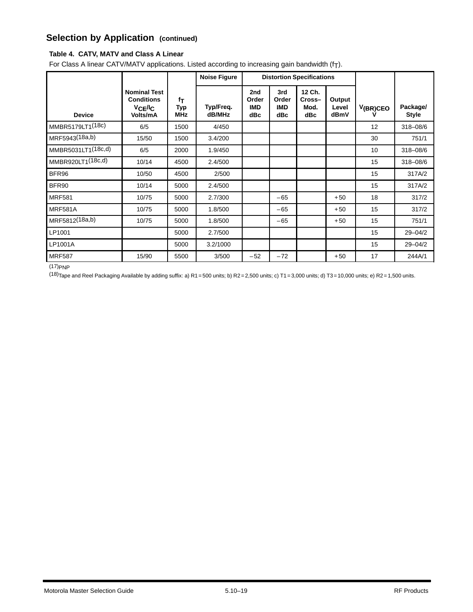### **Selection by Application (continued)**

### **Table 4. CATV, MATV and Class A Linear**

For Class A linear CATV/MATV applications. Listed according to increasing gain bandwidth ( $f<sub>T</sub>$ ).

|                    |                                                                |                         | <b>Noise Figure</b> | <b>Distortion Specifications</b>  |                                   |                                 |                         |             |                          |
|--------------------|----------------------------------------------------------------|-------------------------|---------------------|-----------------------------------|-----------------------------------|---------------------------------|-------------------------|-------------|--------------------------|
| <b>Device</b>      | <b>Nominal Test</b><br><b>Conditions</b><br>VCE/IC<br>Volts/mA | fτ<br>Typ<br><b>MHz</b> | Typ/Freq.<br>dB/MHz | 2nd<br>Order<br><b>IMD</b><br>dBc | 3rd<br>Order<br><b>IMD</b><br>dBc | 12 Ch.<br>Cross-<br>Mod.<br>dBc | Output<br>Level<br>dBmV | $V(BR)$ CEO | Package/<br><b>Style</b> |
| MMBR5179LT1(18c)   | 6/5                                                            | 1500                    | 4/450               |                                   |                                   |                                 |                         | 12          | 318-08/6                 |
| MRF5943(18a,b)     | 15/50                                                          | 1500                    | 3.4/200             |                                   |                                   |                                 |                         | 30          | 751/1                    |
| MMBR5031LT1(18c,d) | 6/5                                                            | 2000                    | 1.9/450             |                                   |                                   |                                 |                         | 10          | $318 - 08/6$             |
| MMBR920LT1(18c,d)  | 10/14                                                          | 4500                    | 2.4/500             |                                   |                                   |                                 |                         | 15          | 318-08/6                 |
| BFR96              | 10/50                                                          | 4500                    | 2/500               |                                   |                                   |                                 |                         | 15          | 317A/2                   |
| BFR90              | 10/14                                                          | 5000                    | 2.4/500             |                                   |                                   |                                 |                         | 15          | 317A/2                   |
| <b>MRF581</b>      | 10/75                                                          | 5000                    | 2.7/300             |                                   | $-65$                             |                                 | $+50$                   | 18          | 317/2                    |
| <b>MRF581A</b>     | 10/75                                                          | 5000                    | 1.8/500             |                                   | $-65$                             |                                 | $+50$                   | 15          | 317/2                    |
| MRF5812(18a,b)     | 10/75                                                          | 5000                    | 1.8/500             |                                   | $-65$                             |                                 | $+50$                   | 15          | 751/1                    |
| LP1001             |                                                                | 5000                    | 2.7/500             |                                   |                                   |                                 |                         | 15          | $29 - 04/2$              |
| LP1001A            |                                                                | 5000                    | 3.2/1000            |                                   |                                   |                                 |                         | 15          | $29 - 04/2$              |
| <b>MRF587</b>      | 15/90                                                          | 5500                    | 3/500               | $-52$                             | $-72$                             |                                 | $+50$                   | 17          | 244A/1                   |

 $(17)$ PNP

(18) Tape and Reel Packaging Available by adding suffix: a) R1 = 500 units; b) R2 = 2,500 units; c) T1 = 3,000 units; d) T3 = 10,000 units; e) R2 = 1,500 units.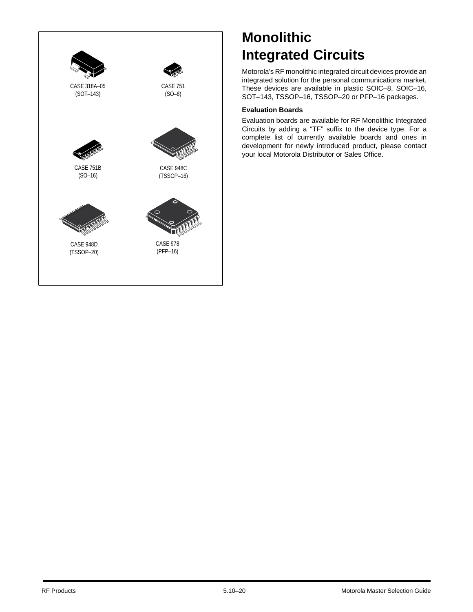

# **Monolithic Integrated Circuits**

Motorola's RF monolithic integrated circuit devices provide an integrated solution for the personal communications market. These devices are available in plastic SOIC–8, SOIC–16, SOT–143, TSSOP–16, TSSOP–20 or PFP–16 packages.

### **Evaluation Boards**

Evaluation boards are available for RF Monolithic Integrated Circuits by adding a "TF" suffix to the device type. For a complete list of currently available boards and ones in development for newly introduced product, please contact your local Motorola Distributor or Sales Office.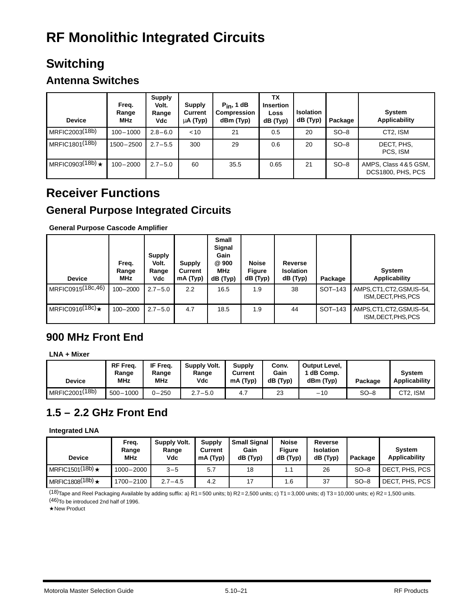# **RF Monolithic Integrated Circuits**

# **Switching**

## **Antenna Switches**

| <b>Device</b>              | Freq.<br>Range<br>MHz | <b>Supply</b><br>Volt.<br>Range<br>Vdc | <b>Supply</b><br><b>Current</b><br>$\mu$ A (Typ) | $P_{in}$ , 1 dB<br><b>Compression</b><br>dBm (Typ) | ТX<br>Insertion<br>Loss<br>dB (Typ) | <b>Isolation</b><br>dB (Typ) | Package | System<br><b>Applicability</b>            |
|----------------------------|-----------------------|----------------------------------------|--------------------------------------------------|----------------------------------------------------|-------------------------------------|------------------------------|---------|-------------------------------------------|
| MRFIC2003 <sup>(18b)</sup> | $100 - 1000$          | $2.8 - 6.0$                            | < 10                                             | 21                                                 | 0.5                                 | 20                           | $SO-8$  | CT2. ISM                                  |
| MRFIC1801 <sup>(18b)</sup> | 1500-2500             | $2.7 - 5.5$                            | 300                                              | 29                                                 | 0.6                                 | 20                           | $SO-8$  | DECT, PHS,<br>PCS. ISM                    |
| MRFIC0903(18b) $\star$     | $100 - 2000$          | $2.7 - 5.0$                            | 60                                               | 35.5                                               | 0.65                                | 21                           | $SO-8$  | AMPS, Class 4&5 GSM,<br>DCS1800, PHS, PCS |

## **Receiver Functions**

## **General Purpose Integrated Circuits**

### **General Purpose Cascode Amplifier**

| <b>Device</b>     | Freq.<br>Range<br><b>MHz</b> | <b>Supply</b><br>Volt.<br>Range<br><b>Vdc</b> | <b>Supply</b><br>Current<br>mA (Typ) | <b>Small</b><br>Signal<br>Gain<br>@ 900<br><b>MHz</b><br>dB (Typ) | <b>Noise</b><br><b>Figure</b><br>dB (Typ) | Reverse<br><b>Isolation</b><br>dB (Typ) | Package | <b>System</b><br><b>Applicability</b>              |
|-------------------|------------------------------|-----------------------------------------------|--------------------------------------|-------------------------------------------------------------------|-------------------------------------------|-----------------------------------------|---------|----------------------------------------------------|
| MRFIC0915(18c,46) | $100 - 2000$                 | $2.7 - 5.0$                                   | 2.2                                  | 16.5                                                              | 1.9                                       | 38                                      | SOT-143 | AMPS, CT1, CT2, GSM, IS-54,<br>ISM. DECT. PHS. PCS |
| MRFIC0916(18c)    | $100 - 2000$                 | $2.7 - 5.0$                                   | 4.7                                  | 18.5                                                              | 1.9                                       | 44                                      | SOT-143 | AMPS, CT1, CT2, GSM, IS-54,<br>ISM, DECT, PHS, PCS |

## **900 MHz Front End**

**LNA + Mixer**

| <b>Device</b>  | RF Freq.<br>Range<br><b>MHz</b> | IF Frea.<br>Range<br><b>MHz</b> | <b>Supply Volt.</b><br>Range<br>Vdc | <b>Supply</b><br>Current<br>mA (Typ) | Conv.<br>Gain<br>dB (Typ) | Output Level,<br>dB Comp.<br>dBm (Typ) | Package | <b>System</b><br><b>Applicability</b> |
|----------------|---------------------------------|---------------------------------|-------------------------------------|--------------------------------------|---------------------------|----------------------------------------|---------|---------------------------------------|
| MRFIC2001(18b) | $500 - 1000$                    | $0 - 250$                       | $2.7 - 5.0$                         | 4.7                                  | 23                        | $-10$                                  | $SO-8$  | CT2. ISM                              |

## **1.5 – 2.2 GHz Front End**

### **Integrated LNA**

| <b>Device</b>          | Freq.<br>Range<br><b>MHz</b> | Supply Volt.<br>Range<br>Vdc | <b>Supply</b><br>Current<br>mA (Typ) | <b>Small Signal</b><br>Gain<br>dB (Typ) | <b>Noise</b><br><b>Figure</b><br>dB (Typ) | Reverse<br><b>Isolation</b><br>dB (Typ) | Package | <b>System</b><br>Applicability |
|------------------------|------------------------------|------------------------------|--------------------------------------|-----------------------------------------|-------------------------------------------|-----------------------------------------|---------|--------------------------------|
| MRFIC1501(18b) $\star$ | 1000-2000                    | $3 - 5$                      | 5.7                                  | 18                                      | 1.1                                       | 26                                      | $SO-8$  | DECT, PHS, PCS                 |
| MRFIC1808(18b) $\star$ | 1700-2100                    | $2.7 - 4.5$                  | 4.2                                  |                                         | 1.6                                       | 37                                      | $SO-8$  | DECT. PHS. PCS                 |

(18)Tape and Reel Packaging Available by adding suffix: a)  $R1 = 500$  units; b)  $R2 = 2,500$  units; c) T1 = 3,000 units; d) T3 = 10,000 units; e)  $R2 = 1,500$  units. (46)To be introduced 2nd half of 1996.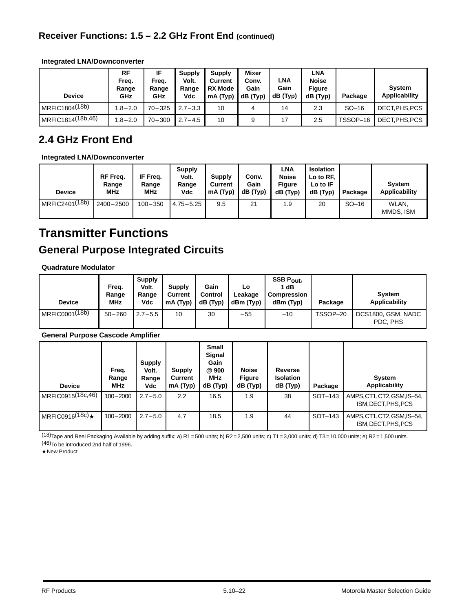### **Integrated LNA/Downconverter**

| <b>Device</b>     | <b>RF</b><br>Frea.<br>Range<br>GHz | IF<br>Frea.<br>Range<br>GHz | Supply<br>Volt.<br>Range<br>Vdc | Supply<br><b>Current</b><br><b>RX Mode</b><br>mA (Typ) | Mixer<br>Conv.<br>Gain<br>dB (Typ) | LNA<br>Gain<br>dB (Typ) | LNA<br><b>Noise</b><br><b>Figure</b><br>dB (Typ) | Package  | <b>System</b><br>Applicability |
|-------------------|------------------------------------|-----------------------------|---------------------------------|--------------------------------------------------------|------------------------------------|-------------------------|--------------------------------------------------|----------|--------------------------------|
| MRFIC1804(18b)    | $1.8 - 2.0$                        | $70 - 325$                  | $2.7 - 3.3$                     | 10                                                     |                                    | 14                      | 2.3                                              | $SO-16$  | DECT, PHS, PCS                 |
| MRFIC1814(18b,46) | $1.8 - 2.0$                        | $70 - 300$                  | $2.7 - 4.5$                     | 10                                                     | 9                                  | 17                      | 2.5                                              | TSSOP-16 | DECT, PHS, PCS                 |

## **2.4 GHz Front End**

**Integrated LNA/Downconverter**

| <b>Device</b>  | <b>RF</b> Frea.<br>Range<br><b>MHz</b> | IF Freq.<br>Range<br><b>MHz</b> | <b>Supply</b><br>Volt.<br>Range<br><b>Vdc</b> | <b>Supply</b><br>Current<br>mA (Typ) | Conv.<br>Gain<br>dB (Typ) | <b>LNA</b><br><b>Noise</b><br><b>Figure</b><br>dB (Typ) | <b>Isolation</b><br>Lo to RF.<br>Lo to IF<br>dB (Typ) | Package | <b>System</b><br>Applicability |
|----------------|----------------------------------------|---------------------------------|-----------------------------------------------|--------------------------------------|---------------------------|---------------------------------------------------------|-------------------------------------------------------|---------|--------------------------------|
| MRFIC2401(18b) | 2400-2500                              | $100 - 350$                     | $4.75 - 5.25$                                 | 9.5                                  | 21                        | 1.9                                                     | 20                                                    | $SO-16$ | WLAN.<br>MMDS. ISM             |

## **Transmitter Functions**

## **General Purpose Integrated Circuits**

**Quadrature Modulator**

| <b>Device</b>  | Frea.<br>Range<br><b>MHz</b> | <b>Supply</b><br>Volt.<br>Range<br>Vdc | Supply<br>Current<br>mA (Typ) | Gain<br>Control<br>dB (Typ) | Lo.<br>Leakage<br>dBm (Typ) | SSB Pout<br>1 dB<br>Compression<br>dBm (Typ) | Package  | <b>System</b><br>Applicability |
|----------------|------------------------------|----------------------------------------|-------------------------------|-----------------------------|-----------------------------|----------------------------------------------|----------|--------------------------------|
| MRFIC0001(18b) | $50 - 260$                   | $2.7 - 5.5$                            | 10                            | 30                          | $-55$                       | $-10$                                        | TSSOP-20 | DCS1800, GSM, NADC<br>PDC, PHS |

**General Purpose Cascode Amplifier**

| <b>Device</b>                  | Freq.<br>Range<br>MHz | <b>Supply</b><br>Volt.<br>Range<br>Vdc | <b>Supply</b><br>Current<br>mA (Typ) | <b>Small</b><br>Signal<br>Gain<br>@ 900<br><b>MHz</b><br>dB (Typ) | <b>Noise</b><br><b>Figure</b><br>dB (Typ) | Reverse<br><b>Isolation</b><br>dB (Typ) | Package | <b>System</b><br>Applicability                     |
|--------------------------------|-----------------------|----------------------------------------|--------------------------------------|-------------------------------------------------------------------|-------------------------------------------|-----------------------------------------|---------|----------------------------------------------------|
| MRFIC0915(18c,46)              | $100 - 2000$          | $2.7 - 5.0$                            | $2.2\phantom{0}$                     | 16.5                                                              | 1.9                                       | 38                                      | SOT-143 | AMPS, CT1, CT2, GSM, IS-54,<br>ISM, DECT, PHS, PCS |
| MRFIC0916 $(18c)$ <sup>*</sup> | $100 - 2000$          | $2.7 - 5.0$                            | 4.7                                  | 18.5                                                              | 1.9                                       | 44                                      | SOT-143 | AMPS, CT1, CT2, GSM, IS-54,<br>ISM, DECT, PHS, PCS |

(18)Tape and Reel Packaging Available by adding suffix: a)  $R1 = 500$  units; b)  $R2 = 2,500$  units; c) T1 = 3,000 units; d) T3 = 10,000 units; e)  $R2 = 1,500$  units. (46)To be introduced 2nd half of 1996.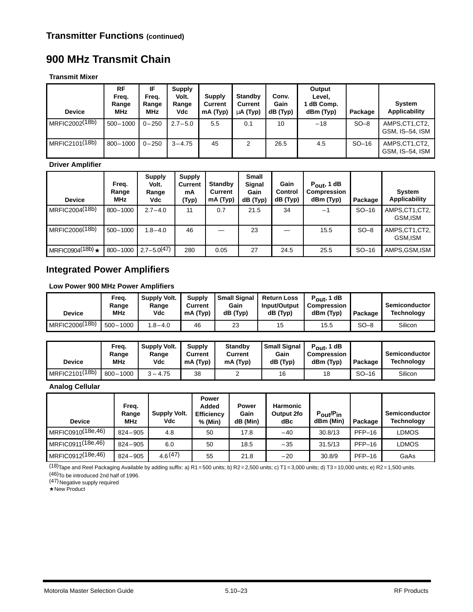## **900 MHz Transmit Chain**

**Transmit Mixer**

| <b>Device</b>              | RF<br>Freq.<br>Range<br><b>MHz</b> | IF<br>Freq.<br>Range<br><b>MHz</b> | <b>Supply</b><br>Volt.<br>Range<br>Vdc | <b>Supply</b><br><b>Current</b><br>mA (Typ) | <b>Standby</b><br>Current<br>$\mu$ A (Typ) | Conv.<br>Gain<br>dB (Typ) | Output<br>Level,<br>dB Comp.<br>dBm (Typ) | Package | <b>System</b><br>Applicability     |
|----------------------------|------------------------------------|------------------------------------|----------------------------------------|---------------------------------------------|--------------------------------------------|---------------------------|-------------------------------------------|---------|------------------------------------|
| MRFIC2002 <sup>(18b)</sup> | $500 - 1000$                       | $0 - 250$                          | $2.7 - 5.0$                            | 5.5                                         | 0.1                                        | 10                        | $-18$                                     | $SO-8$  | AMPS, CT1, CT2,<br>GSM. IS-54. ISM |
| MRFIC2101(18b)             | $800 - 1000$                       | $0 - 250$                          | $3 - 4.75$                             | 45                                          | 2                                          | 26.5                      | 4.5                                       | $SO-16$ | AMPS, CT1, CT2,<br>GSM, IS-54, ISM |

### **Driver Amplifier**

| <b>Device</b>          | Freq.<br>Range<br><b>MHz</b> | <b>Supply</b><br>Volt.<br>Range<br>Vdc  | <b>Supply</b><br><b>Current</b><br>mA<br>(Typ) | <b>Standby</b><br>Current<br>mA (Typ) | Small<br>Signal<br>Gain<br>dB (Typ) | Gain<br>Control<br>dB (Typ) | $P_{\text{out}}$ , 1 dB<br>Compression<br>dBm (Typ) | Package | <b>System</b><br>Applicability |
|------------------------|------------------------------|-----------------------------------------|------------------------------------------------|---------------------------------------|-------------------------------------|-----------------------------|-----------------------------------------------------|---------|--------------------------------|
| MRFIC2004(18b)         | 800-1000                     | $2.7 - 4.0$                             | 11                                             | 0.7                                   | 21.5                                | 34                          | $-1$                                                | $SO-16$ | AMPS, CT1, CT2,<br>GSM.ISM     |
| MRFIC2006(18b)         | $500 - 1000$                 | $1.8 - 4.0$                             | 46                                             |                                       | 23                                  |                             | 15.5                                                | $SO-8$  | AMPS, CT1, CT2,<br>GSM.ISM     |
| MRFIC0904(18b) $\star$ | $800 - 1000$                 | $\frac{(47)}{2.7}$ -5.0 <sup>(47)</sup> | 280                                            | 0.05                                  | 27                                  | 24.5                        | 25.5                                                | $SO-16$ | AMPS, GSM, ISM                 |

## **Integrated Power Amplifiers**

### **Low Power 900 MHz Power Amplifiers**

| <b>Device</b>  | Freq.<br>Range<br><b>MHz</b> | Supply Volt.<br>Range<br>Vdc | Supply<br>Current<br>mA (Typ) | <b>Small Signal</b><br>Gain<br>dB (Typ) | <b>Return Loss</b><br>Input/Output<br>dB (Typ) | 1 dB<br>'out›<br><b>Compression</b><br>dBm (Typ) | Package | Semiconductor<br><b>Technology</b> |
|----------------|------------------------------|------------------------------|-------------------------------|-----------------------------------------|------------------------------------------------|--------------------------------------------------|---------|------------------------------------|
| MRFIC2006(18b) | $500 - 1000$                 | $1.8 - 4.0$                  | 46                            | 23                                      | ıь                                             | 15.5                                             | $SO-8$  | Silicon                            |

| <b>Device</b>              | Freq.<br>Range<br><b>MHz</b> | Supply Volt.<br>Range<br>Vdc | Supply<br>Current<br>mA (Typ) | <b>Standby</b><br><b>Current</b><br>mA (Typ) | <b>Small Signal</b><br>Gain<br>dB (Typ) | 1 dB<br>$P_{\rm out}$<br><b>Compression</b><br>dBm (Typ) | Package | Semiconductor<br><b>Technology</b> |
|----------------------------|------------------------------|------------------------------|-------------------------------|----------------------------------------------|-----------------------------------------|----------------------------------------------------------|---------|------------------------------------|
| MRFIC2101 <sup>(18b)</sup> | $800 - 1000$                 | $3 - 4.75$                   | 38                            |                                              | 16                                      | 18                                                       | $SO-16$ | Silicon                            |

#### **Analog Cellular**

| <b>Device</b>     | Freq.<br>Range<br><b>MHz</b> | Supply Volt.<br>Vdc | <b>Power</b><br>Added<br><b>Efficiency</b><br>% (Min) | <b>Power</b><br>Gain<br>dB (Min) | <b>Harmonic</b><br>Output 2fo<br>dBc | Pout <sup>/P</sup> in<br>dBm (Min) | Package  | Semiconductor<br><b>Technology</b> |
|-------------------|------------------------------|---------------------|-------------------------------------------------------|----------------------------------|--------------------------------------|------------------------------------|----------|------------------------------------|
| MRFIC0910(18e,46) | $824 - 905$                  | 4.8                 | 50                                                    | 17.8                             | $-40$                                | 30.8/13                            | $PFP-16$ | LDMOS                              |
| MRFIC0911(18e,46) | $824 - 905$                  | 6.0                 | 50                                                    | 18.5                             | $-35$                                | 31.5/13                            | $PFP-16$ | LDMOS                              |
| MRFIC0912(18e,46) | $824 - 905$                  | 4.6(47)             | 55                                                    | 21.8                             | $-20$                                | 30.8/9                             | $PFP-16$ | GaAs                               |

(18)Tape and Reel Packaging Available by adding suffix: a) R1=500 units; b) R2=2,500 units; c) T1=3,000 units; d) T3=10,000 units; e) R2=1,500 units. (46)To be introduced 2nd half of 1996.

(47) Negative supply required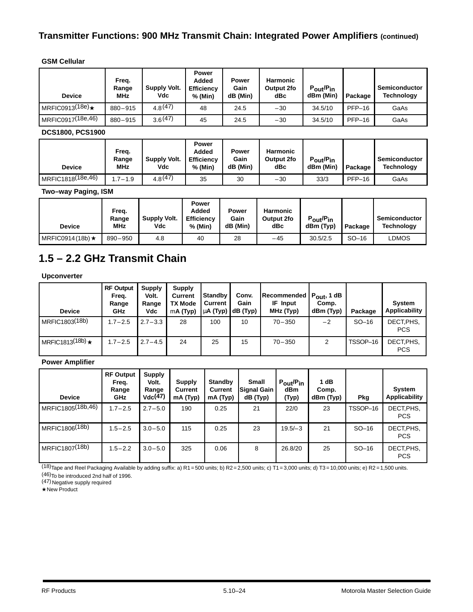## **Transmitter Functions: 900 MHz Transmit Chain: Integrated Power Amplifiers (continued)**

**GSM Cellular**

| <b>Device</b>            | Freq.<br>Range<br><b>MHz</b> | Supply Volt.<br>Vdc | <b>Power</b><br>Added<br><b>Efficiency</b><br>% (Min) | <b>Power</b><br>Gain<br>dB (Min) | <b>Harmonic</b><br>Output 2fo<br>dBc | $P_{\text{out}}/P_{\text{in}}$<br>dBm (Min) | Package  | Semiconductor<br><b>Technology</b> |
|--------------------------|------------------------------|---------------------|-------------------------------------------------------|----------------------------------|--------------------------------------|---------------------------------------------|----------|------------------------------------|
| $MRFIC0913^{(18e)}\star$ | $880 - 915$                  | 4.8(47)             | 48                                                    | 24.5                             | $-30$                                | 34.5/10                                     | $PFP-16$ | GaAs                               |
| MRFIC0917(18e,46)        | $880 - 915$                  | 3.6(47)             | 45                                                    | 24.5                             | $-30$                                | 34.5/10                                     | $PFP-16$ | GaAs                               |

### **DCS1800, PCS1900**

| <b>Device</b>                 | Frea.<br>Range<br><b>MHz</b> | Supply Volt.<br>Vdc | <b>Power</b><br>Added<br><b>Efficiency</b><br>% (Min) | <b>Power</b><br>Gain<br>dB (Min) | <b>Harmonic</b><br>Output 2fo<br>dBc | P <sub>out</sub> /P <sub>in</sub><br>dBm (Min) | Package  | Semiconductor<br><b>Technology</b> |
|-------------------------------|------------------------------|---------------------|-------------------------------------------------------|----------------------------------|--------------------------------------|------------------------------------------------|----------|------------------------------------|
| MRFIC1818 <sup>(18e,46)</sup> | $.7 - 1.9$                   | 4.8(47)             | 35                                                    | 30                               | $-30$                                | 33/3                                           | $PFP-16$ | GaAs                               |

### **Two–way Paging, ISM**

| <b>Device</b>          | Freq.<br>Range<br><b>MHz</b> | Supply Volt.<br>Vdc | <b>Power</b><br>Added<br><b>Efficiency</b><br>% (Min) | <b>Power</b><br>Gain<br>dB (Min) | Harmonic<br>Output 2fo<br>dBc | P <sub>out</sub> /P <sub>in</sub><br>dBm (Typ) | Package | <b>Semiconductor</b><br><b>Technology</b> |
|------------------------|------------------------------|---------------------|-------------------------------------------------------|----------------------------------|-------------------------------|------------------------------------------------|---------|-------------------------------------------|
| $MRFIC0914(18b) \star$ | $890 - 950$                  | 4.8                 | 40                                                    | 28                               | $-45$                         | 30.5/2.5                                       | $SO-16$ | LDMOS                                     |

## **1.5 – 2.2 GHz Transmit Chain**

#### **Upconverter**

| <b>Device</b>          | <b>RF Output</b><br>Freq.<br>Range<br><b>GHz</b> | <b>Supply</b><br>Volt.<br>Range<br>Vdc | <b>Supply</b><br>Current<br><b>TX Mode</b><br>mA(Typ) | <b>Standby</b><br>Current<br> μ <b>Α (Тур)</b> | Conv.<br>Gain<br>dB (Typ) | Recommended<br>IF Input<br>MHz (Typ) | P <sub>out</sub> , 1 dB<br>Comp.<br>dBm (Typ) | Package  | System<br>Applicability  |
|------------------------|--------------------------------------------------|----------------------------------------|-------------------------------------------------------|------------------------------------------------|---------------------------|--------------------------------------|-----------------------------------------------|----------|--------------------------|
| MRFIC1803(18b)         | $1.7 - 2.5$                                      | $2.7 - 3.3$                            | 28                                                    | 100                                            | 10                        | $70 - 350$                           | $-2$                                          | $SO-16$  | DECT, PHS,<br><b>PCS</b> |
| $MRFIC1813(18b) \star$ | $1.7 - 2.5$                                      | $2.7 - 4.5$                            | 24                                                    | 25                                             | 15                        | $70 - 350$                           |                                               | TSSOP-16 | DECT, PHS,<br><b>PCS</b> |

### **Power Amplifier**

| <b>Device</b>              | <b>RF Output</b><br>Freq.<br>Range<br><b>GHz</b> | <b>Supply</b><br>Volt.<br>Range<br>Vdc <sup>(47)</sup> | <b>Supply</b><br>Current<br>mA (Typ) | Standby<br><b>Current</b><br>mA (Typ) | <b>Small</b><br>Signal Gain<br>dB (Typ) | Pout <sup>/P</sup> in<br>dBm<br>(Typ) | 1 dB<br>Comp.<br>dBm (Typ) | <b>Pkg</b> | System<br>Applicability  |
|----------------------------|--------------------------------------------------|--------------------------------------------------------|--------------------------------------|---------------------------------------|-----------------------------------------|---------------------------------------|----------------------------|------------|--------------------------|
| MRFIC1805(18b,46)          | $1.7 - 2.5$                                      | $2.7 - 5.0$                                            | 190                                  | 0.25                                  | 21                                      | 22/0                                  | 23                         | TSSOP-16   | DECT, PHS,<br><b>PCS</b> |
| MRFIC1806(18b)             | $1.5 - 2.5$                                      | $3.0 - 5.0$                                            | 115                                  | 0.25                                  | 23                                      | $19.5/-3$                             | 21                         | $SO-16$    | DECT, PHS,<br><b>PCS</b> |
| MRFIC1807 <sup>(18b)</sup> | $1.5 - 2.2$                                      | $3.0 - 5.0$                                            | 325                                  | 0.06                                  | 8                                       | 26.8/20                               | 25                         | $SO-16$    | DECT, PHS,<br><b>PCS</b> |

(18)Tape and Reel Packaging Available by adding suffix: a) R1=500 units; b) R2=2,500 units; c) T1=3,000 units; d) T3=10,000 units; e) R2=1,500 units. (46)To be introduced 2nd half of 1996.

(47) Negative supply required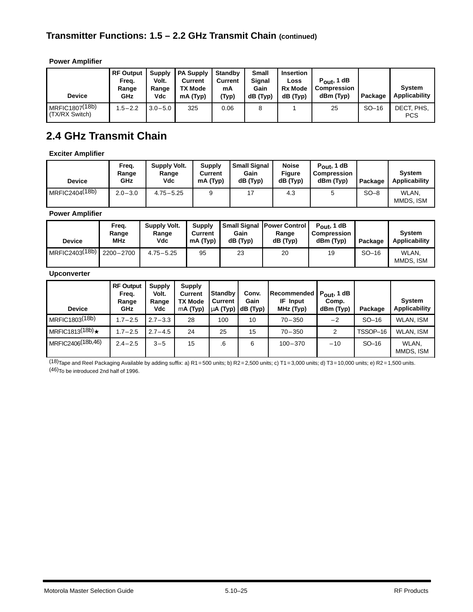**Power Amplifier**

| <b>Device</b>                    | <b>RF Output</b><br>Frea.<br>Range<br><b>GHz</b> | Supply<br>Volt.<br>Range<br>Vdc | <b>PA Supply</b><br><b>Current</b><br><b>TX Mode</b><br>mA(Typ) | <b>Standby</b><br>Current<br>mA<br>(Typ) | <b>Small</b><br>Signal<br>Gain<br>dB (Typ) | <b>Insertion</b><br>Loss<br><b>Rx Mode</b><br>dB (Typ) | P <sub>out</sub> , 1 dB<br>Compression<br>dBm (Typ) | Package | <b>System</b><br>Applicability |
|----------------------------------|--------------------------------------------------|---------------------------------|-----------------------------------------------------------------|------------------------------------------|--------------------------------------------|--------------------------------------------------------|-----------------------------------------------------|---------|--------------------------------|
| MRFIC1807(18b)<br>(TX/RX Switch) | $1.5 - 2.2$                                      | $3.0 - 5.0$                     | 325                                                             | 0.06                                     | 8                                          |                                                        | 25                                                  | $SO-16$ | DECT. PHS.<br><b>PCS</b>       |

## **2.4 GHz Transmit Chain**

**Exciter Amplifier**

| <b>Device</b>              | Freq.<br>Range<br>GHz | Supply Volt.<br>Range<br>Vdc | <b>Supply</b><br>Current<br>mA (Typ) | <b>Small Signal</b><br>Gain<br>dB (Typ) | <b>Noise</b><br><b>Figure</b><br>dB (Typ) | $P_{\text{out}}$ , 1 dB<br><b>Compression</b><br>dBm (Tvp) | Package | <b>System</b><br>Applicability |
|----------------------------|-----------------------|------------------------------|--------------------------------------|-----------------------------------------|-------------------------------------------|------------------------------------------------------------|---------|--------------------------------|
| MRFIC2404 <sup>(18b)</sup> | $2.0 - 3.0$           | $4.75 - 5.25$                | 9                                    |                                         | 4.3                                       |                                                            | $SO-8$  | WLAN.<br>MMDS. ISM             |

**Power Amplifier**

| <b>Device</b>              | Freq.<br>Range<br><b>MHz</b> | Supply Volt.<br>Range<br>Vdc | Supply<br>Current<br>mA (Typ) | Gain<br>dB (Typ) | <b>Small Signal   Power Control</b><br>Range<br>dB (Typ) | $P_{\text{out}}$ , 1 dB<br>Compression<br>dBm (Typ) | Package | <b>System</b><br>Applicability |
|----------------------------|------------------------------|------------------------------|-------------------------------|------------------|----------------------------------------------------------|-----------------------------------------------------|---------|--------------------------------|
| MRFIC2403 <sup>(18b)</sup> | $2200 - 2700$                | $4.75 - 5.25$                | 95                            | 23               | 20                                                       | 19                                                  | $SO-16$ | WLAN.<br>MMDS. ISM             |

#### **Upconverter**

| <b>Device</b>                 | <b>RF Output</b><br>Freq.<br>Range<br><b>GHz</b> | <b>Supply</b><br>Volt.<br>Range<br>Vdc | <b>Supply</b><br><b>Current</b><br><b>TX Mode</b><br>mA(Typ) | <b>Standby</b><br>Current<br>$\mu$ A (Typ) | Conv.<br>Gain<br>dB (Typ) | Recommended<br>IF Input<br>MHz (Typ) | $P_{\rm out}$ , 1 dB<br>Comp.<br>dBm (Typ) | Package  | System<br>Applicability |
|-------------------------------|--------------------------------------------------|----------------------------------------|--------------------------------------------------------------|--------------------------------------------|---------------------------|--------------------------------------|--------------------------------------------|----------|-------------------------|
| MRFIC1803 <sup>(18b)</sup>    | $1.7 - 2.5$                                      | $2.7 - 3.3$                            | 28                                                           | 100                                        | 10                        | $70 - 350$                           | $-2$                                       | $SO-16$  | WLAN, ISM               |
| $MRFIC1813(18b)$ <sup>*</sup> | $1.7 - 2.5$                                      | $2.7 - 4.5$                            | 24                                                           | 25                                         | 15                        | $70 - 350$                           | 2                                          | TSSOP-16 | WLAN, ISM               |
| MRFIC2406(18b,46)             | $2.4 - 2.5$                                      | $3 - 5$                                | 15                                                           | .6                                         | 6                         | $100 - 370$                          | $-10$                                      | $SO-16$  | WLAN,<br>MMDS, ISM      |

(18)Tape and Reel Packaging Available by adding suffix: a) R1=500 units; b) R2=2,500 units; c) T1=3,000 units; d) T3=10,000 units; e) R2=1,500 units. (46)To be introduced 2nd half of 1996.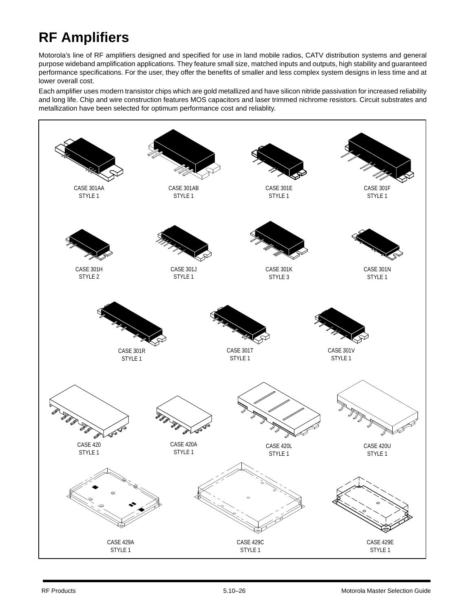# **RF Amplifiers**

Motorola's line of RF amplifiers designed and specified for use in land mobile radios, CATV distribution systems and general purpose wideband amplification applications. They feature small size, matched inputs and outputs, high stability and guaranteed performance specifications. For the user, they offer the benefits of smaller and less complex system designs in less time and at lower overall cost.

Each amplifier uses modern transistor chips which are gold metallized and have silicon nitride passivation for increased reliability and long life. Chip and wire construction features MOS capacitors and laser trimmed nichrome resistors. Circuit substrates and metallization have been selected for optimum performance cost and reliablity.

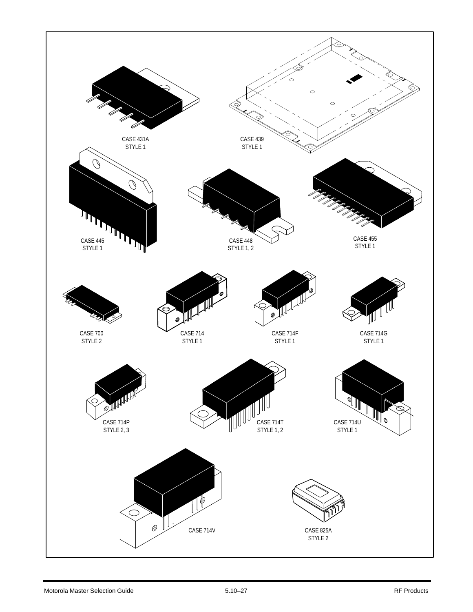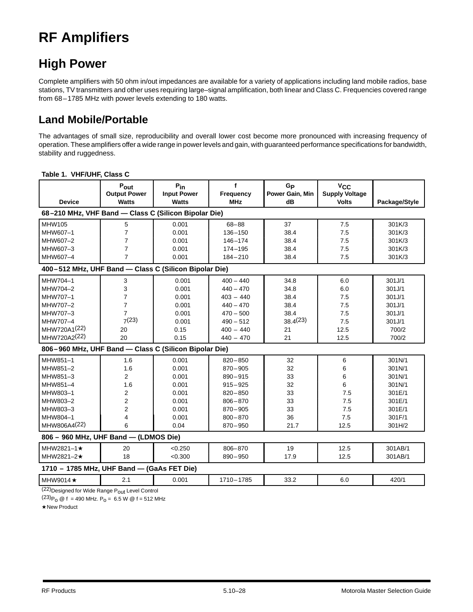# **RF Amplifiers**

# **High Power**

Complete amplifiers with 50 ohm in/out impedances are available for a variety of applications including land mobile radios, base stations, TV transmitters and other uses requiring large–signal amplification, both linear and Class C. Frequencies covered range from 68–1785 MHz with power levels extending to 180 watts.

## **Land Mobile/Portable**

The advantages of small size, reproducibility and overall lower cost become more pronounced with increasing frequency of operation. These amplifiers offer a wide range in power levels and gain, with guaranteed performance specifications for bandwidth, stability and ruggedness.

|                                                       | Pout<br><b>Output Power</b> | $P_{in}$<br><b>Input Power</b> | f<br>Frequency | G <sub>P</sub><br>Power Gain, Min | $V_{CC}$<br><b>Supply Voltage</b> |               |  |  |  |  |
|-------------------------------------------------------|-----------------------------|--------------------------------|----------------|-----------------------------------|-----------------------------------|---------------|--|--|--|--|
| <b>Device</b>                                         | <b>Watts</b>                | <b>Watts</b>                   | <b>MHz</b>     | dB                                | <b>Volts</b>                      | Package/Style |  |  |  |  |
| 68-210 MHz, VHF Band - Class C (Silicon Bipolar Die)  |                             |                                |                |                                   |                                   |               |  |  |  |  |
| <b>MHW105</b>                                         | 5                           | 0.001                          | $68 - 88$      | 37                                | 7.5                               | 301K/3        |  |  |  |  |
| MHW607-1                                              | $\overline{7}$              | 0.001                          | $136 - 150$    | 38.4                              | 7.5                               | 301K/3        |  |  |  |  |
| MHW607-2                                              | $\overline{7}$              | 0.001                          | 146-174        | 38.4                              | 7.5                               | 301K/3        |  |  |  |  |
| MHW607-3                                              | $\overline{7}$              | 0.001                          | $174 - 195$    | 38.4                              | 7.5                               | 301K/3        |  |  |  |  |
| MHW607-4                                              | $\overline{7}$              | 0.001                          | $184 - 210$    | 38.4                              | 7.5                               | 301K/3        |  |  |  |  |
| 400-512 MHz, UHF Band - Class C (Silicon Bipolar Die) |                             |                                |                |                                   |                                   |               |  |  |  |  |
| MHW704-1                                              | 3                           | 0.001                          | $400 - 440$    | 34.8                              | 6.0                               | 301J/1        |  |  |  |  |
| MHW704-2                                              | 3                           | 0.001                          | $440 - 470$    | 34.8                              | 6.0                               | 301J/1        |  |  |  |  |
| MHW707-1                                              | 7                           | 0.001                          | $403 - 440$    | 38.4                              | 7.5                               | 301J/1        |  |  |  |  |
| MHW707-2                                              | 7                           | 0.001                          | $440 - 470$    | 38.4                              | 7.5                               | 301J/1        |  |  |  |  |
| MHW707-3                                              | $\overline{7}$              | 0.001                          | $470 - 500$    | 38.4                              | 7.5                               | 301J/1        |  |  |  |  |
| MHW707-4                                              | 7(23)                       | 0.001                          | $490 - 512$    | 38.4(23)                          | 7.5                               | 301J/1        |  |  |  |  |
| MHW720A1 <sup>(22)</sup>                              | 20                          | 0.15                           | $400 - 440$    | 21                                | 12.5                              | 700/2         |  |  |  |  |
| MHW720A2 <sup>(22)</sup>                              | 20                          | 0.15                           | $440 - 470$    | 21                                | 12.5                              | 700/2         |  |  |  |  |
| 806-960 MHz, UHF Band - Class C (Silicon Bipolar Die) |                             |                                |                |                                   |                                   |               |  |  |  |  |
| MHW851-1                                              | 1.6                         | 0.001                          | $820 - 850$    | 32                                | 6                                 | 301N/1        |  |  |  |  |
| MHW851-2                                              | 1.6                         | 0.001                          | $870 - 905$    | 32                                | 6                                 | 301N/1        |  |  |  |  |
| MHW851-3                                              | $\overline{2}$              | 0.001                          | $890 - 915$    | 33                                | 6                                 | 301N/1        |  |  |  |  |
| MHW851-4                                              | 1.6                         | 0.001                          | $915 - 925$    | 32                                | 6                                 | 301N/1        |  |  |  |  |
| MHW803-1                                              | 2                           | 0.001                          | $820 - 850$    | 33                                | 7.5                               | 301E/1        |  |  |  |  |
| MHW803-2                                              | 2                           | 0.001                          | $806 - 870$    | 33                                | 7.5                               | 301E/1        |  |  |  |  |
| MHW803-3                                              | $\overline{2}$              | 0.001                          | $870 - 905$    | 33                                | 7.5                               | 301E/1        |  |  |  |  |
| MHW804-1                                              | 4                           | 0.001                          | $800 - 870$    | 36                                | 7.5                               | 301F/1        |  |  |  |  |
| MHW806A4(22)                                          | 6                           | 0.04                           | $870 - 950$    | 21.7                              | 12.5                              | 301H/2        |  |  |  |  |
| 806 - 960 MHz, UHF Band - (LDMOS Die)                 |                             |                                |                |                                   |                                   |               |  |  |  |  |
| MHW2821-1★                                            | 20                          | < 0.250                        | 806-870        | 19                                | 12.5                              | 301AB/1       |  |  |  |  |
| MHW2821-2★                                            | 18                          | < 0.300                        | $890 - 950$    | 17.9                              | 12.5                              | 301AB/1       |  |  |  |  |
| 1710 - 1785 MHz, UHF Band - (GaAs FET Die)            |                             |                                |                |                                   |                                   |               |  |  |  |  |
| MHW9014 $\star$                                       | 2.1                         | 0.001                          | 1710-1785      | 33.2                              | 6.0                               | 420/1         |  |  |  |  |

### **Table 1. VHF/UHF, Class C**

 $(22)$ Designed for Wide Range P<sub>out</sub> Level Control

 $(23)P_0 \text{ } @f = 490 \text{ MHz}$ .  $P_0 = 6.5 \text{ W}$   $\text{ } @f = 512 \text{ MHz}$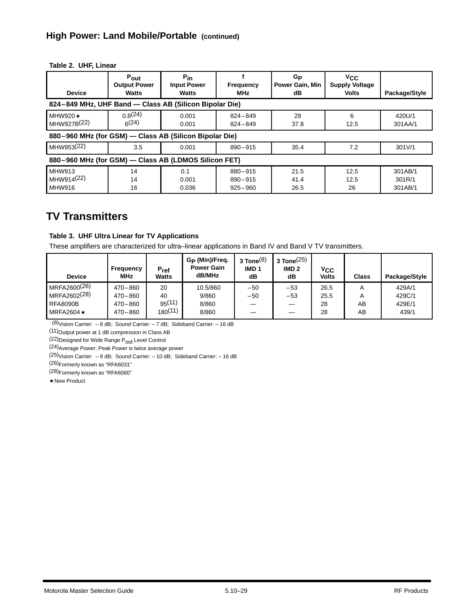#### **Table 2. UHF, Linear**

| <b>Device</b>                                          | Pout<br><b>Output Power</b><br><b>Watts</b> | $P_{in}$<br><b>Input Power</b><br><b>Watts</b> | <b>Frequency</b><br><b>MHz</b>            | Gp<br><b>Power Gain, Min</b><br>dВ | $V_{CC}$<br><b>Supply Voltage</b><br><b>Volts</b> | Package/Style                |  |  |  |  |
|--------------------------------------------------------|---------------------------------------------|------------------------------------------------|-------------------------------------------|------------------------------------|---------------------------------------------------|------------------------------|--|--|--|--|
| 824-849 MHz, UHF Band - Class AB (Silicon Bipolar Die) |                                             |                                                |                                           |                                    |                                                   |                              |  |  |  |  |
| MHW920 $\star$<br>MHW927B(22)                          | 0.8(24)<br>6(24)                            | 0.001<br>0.001                                 | $824 - 849$<br>$824 - 849$                | 29<br>37.8                         | 6<br>12.5                                         | 420U/1<br>301AA/1            |  |  |  |  |
| 880-960 MHz (for GSM) - Class AB (Silicon Bipolar Die) |                                             |                                                |                                           |                                    |                                                   |                              |  |  |  |  |
| MHW953 <sup>(22)</sup>                                 | 3.5                                         | 0.001                                          | $890 - 915$                               | 35.4                               | 7.2                                               | 301V/1                       |  |  |  |  |
| 880-960 MHz (for GSM) - Class AB (LDMOS Silicon FET)   |                                             |                                                |                                           |                                    |                                                   |                              |  |  |  |  |
| MHW913<br>MHW914(22)<br>MHW916                         | 14<br>14<br>16                              | 0.1<br>0.001<br>0.036                          | $880 - 915$<br>$890 - 915$<br>$925 - 960$ | 21.5<br>41.4<br>26.5               | 12.5<br>12.5<br>26                                | 301AB/1<br>301R/1<br>301AB/1 |  |  |  |  |

## **TV Transmitters**

#### **Table 3. UHF Ultra Linear for TV Applications**

These amplifiers are characterized for ultra–linear applications in Band IV and Band V TV transmitters.

| <b>Device</b>    | Frequency<br><b>MHz</b> | $P_{ref}$<br><b>Watts</b> | Gp (Min)/Freq.<br><b>Power Gain</b><br>dB/MHz | 3 Tone $(8)$<br>IMD <sub>1</sub><br>dВ | 3 Tone $(25)$<br>IMD <sub>2</sub><br>dВ | $V_{CC}$<br><b>Volts</b> | <b>Class</b> | Package/Style |
|------------------|-------------------------|---------------------------|-----------------------------------------------|----------------------------------------|-----------------------------------------|--------------------------|--------------|---------------|
| MRFA2600(26)     | $470 - 860$             | 20                        | 10.5/860                                      | $-50$                                  | $-53$                                   | 26.5                     | А            | 429A/1        |
| MRFA2602(28)     | $470 - 860$             | 40                        | 9/860                                         | $-50$                                  | $-53$                                   | 25.5                     | А            | 429C/1        |
| <b>RFA8090B</b>  | $470 - 860$             | 95(11)                    | 8/860                                         |                                        |                                         | 28                       | AB           | 429E/1        |
| MRFA2604 $\star$ | $470 - 860$             | $180^{(11)}$              | 8/860                                         |                                        |                                         | 28                       | AB           | 439/1         |

 $(8)$ Vision Carrier:  $-8$  dB; Sound Carrier:  $-7$  dB; Sideband Carrier:  $-16$  dB

(11)Output power at 1 dB compression in Class AB

(22) Designed for Wide Range P<sub>out</sub> Level Control

(24)Average Power; Peak Power is twice average power

(25)Vision Carrier: – 8 dB; Sound Carrier: – 10 dB; Sideband Carrier: – 16 dB

(26)Formerly known as "RFA6031"

(28)Formerly known as "RFA6060"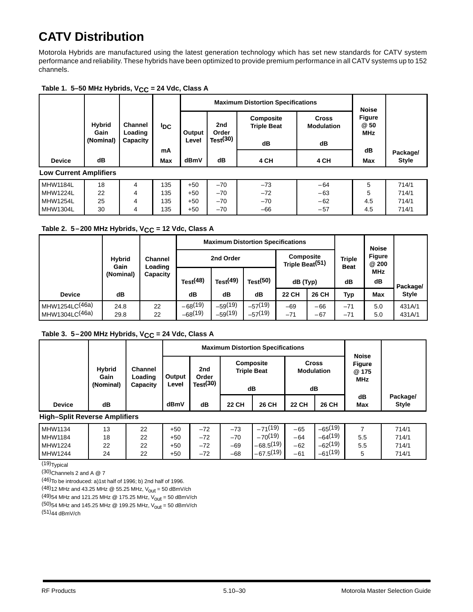# **CATV Distribution**

Motorola Hybrids are manufactured using the latest generation technology which has set new standards for CATV system performance and reliability. These hybrids have been optimized to provide premium performance in all CATV systems up to 152 channels.

Table 1. 5-50 MHz Hybrids, V<sub>CC</sub> = 24 Vdc, Class A

|                               |           |                           |                 |        |                                                 | <b>Maximum Distortion Specifications</b> |                                   | <b>Noise</b>                        |                          |
|-------------------------------|-----------|---------------------------|-----------------|--------|-------------------------------------------------|------------------------------------------|-----------------------------------|-------------------------------------|--------------------------|
| <b>Hybrid</b><br>Gain         |           | <b>Channel</b><br>Loading | <sup>I</sup> DC | Output | Composite<br>2nd<br><b>Triple Beat</b><br>Order |                                          | <b>Cross</b><br><b>Modulation</b> | <b>Figure</b><br>@ 50<br><b>MHz</b> |                          |
|                               | (Nominal) | Capacity                  |                 | Level  | Test(30)                                        | dB                                       | dB                                |                                     |                          |
| <b>Device</b>                 | dB        |                           | mA<br>Max       | dBmV   | dВ                                              | 4 CH                                     | 4 CH                              | dB<br>Max                           | Package/<br><b>Style</b> |
| <b>Low Current Amplifiers</b> |           |                           |                 |        |                                                 |                                          |                                   |                                     |                          |
| <b>MHW1184L</b>               | 18        | 4                         | 135             | $+50$  | $-70$                                           | $-73$                                    | $-64$                             | 5                                   | 714/1                    |
| <b>MHW1224L</b>               | 22        | 4                         | 135             | $+50$  | $-70$                                           | $-72$                                    | $-63$                             | 5                                   | 714/1                    |
| <b>MHW1254L</b>               | 25        | 4                         | 135             | $+50$  | $-70$                                           | $-70$                                    | $-62$                             | 4.5                                 | 714/1                    |
| <b>MHW1304L</b>               | 30        | 4                         | 135             | $+50$  | $-70$                                           | $-66$                                    | $-57$                             | 4.5                                 | 714/1                    |

### Table 2. 5-200 MHz Hybrids, V<sub>CC</sub> = 12 Vdc, Class A

|                                                          |              |                                                                      |                        | <b>Maximum Distortion Specifications</b> |                        |                                          |              |                              |                                        |                          |
|----------------------------------------------------------|--------------|----------------------------------------------------------------------|------------------------|------------------------------------------|------------------------|------------------------------------------|--------------|------------------------------|----------------------------------------|--------------------------|
| <b>Hybrid</b><br>Gain                                    |              | Channel<br>Loading                                                   |                        | 2nd Order                                |                        | Composite<br>Triple Beat <sup>(51)</sup> |              | <b>Triple</b><br><b>Beat</b> | <b>Noise</b><br><b>Figure</b><br>@ 200 |                          |
|                                                          | Capacity     | Test <sup>(48)</sup><br>Test <sup>(49)</sup><br>Test <sup>(50)</sup> |                        |                                          | dB (Typ)               |                                          | dB           | <b>MHz</b><br>dB             |                                        |                          |
| <b>Device</b>                                            | dB           |                                                                      | dB                     | dB                                       | dB                     | <b>22 CH</b>                             | 26 CH        | Тур                          | Max                                    | Package/<br><b>Style</b> |
| MHW1254LC <sup>(46a)</sup><br>MHW1304LC <sup>(46a)</sup> | 24.8<br>29.8 | 22<br>22                                                             | $-68(19)$<br>$-68(19)$ | $-59(19)$<br>$-59(19)$                   | $-57(19)$<br>$-57(19)$ | $-69$<br>$-71$                           | -66<br>$-67$ | $-71$<br>$-71$               | 5.0<br>5.0                             | 431A/1<br>431A/1         |

### **Table 3. 5–200 MHz Hybrids, VCC = 24 Vdc, Class A**

|               |                             |                                       |                 | <b>Maximum Distortion Specifications</b> | <b>Noise</b>                          |       |                                         |       |                                      |                          |
|---------------|-----------------------------|---------------------------------------|-----------------|------------------------------------------|---------------------------------------|-------|-----------------------------------------|-------|--------------------------------------|--------------------------|
|               | Hybrid<br>Gain<br>(Nominal) | <b>Channel</b><br>Loading<br>Capacity | Output<br>Level | 2nd<br>Order<br>Test(30)                 | Composite<br><b>Triple Beat</b><br>dB |       | <b>Cross</b><br><b>Modulation</b><br>dB |       | <b>Figure</b><br>@ 175<br><b>MHz</b> |                          |
| <b>Device</b> | dB                          |                                       | dBmV            | dB                                       | <b>22 CH</b>                          | 26 CH | 22 CH                                   | 26 CH | dB<br>Max                            | Package/<br><b>Style</b> |

**High–Split Reverse Amplifiers**

| <b>MHW1134</b> | ں ו      | $\sim$<br>22 | $+50$ | $\overline{\phantom{a}}$<br>$-12$ | 72<br>–7১ | (19)<br>74<br>_              | $-65$ | $-65(19)$ |     | 714/1 |
|----------------|----------|--------------|-------|-----------------------------------|-----------|------------------------------|-------|-----------|-----|-------|
| MHW1184        | 18       | $\sim$<br>22 | $+50$ | $\overline{\phantom{a}}$<br>$-1$  | $-70$     | $-70^{(19)}$                 | $-64$ | $-64(19)$ | 5.5 | 714/1 |
| MHW1224        | າາ<br>22 | 22           | $+50$ | 70<br>$-12$                       | -69       | (19)<br>$-68.5$              | $-62$ | $-62(19)$ | 5.5 | 714/1 |
| MHW1244        | 24       | ົ<br>22      | $+50$ | 70<br>$-12$                       | $-68$     | (19)<br>$\sim$<br>.50<br>-67 | $-61$ | $-61(19)$ |     | 714/1 |

(19)Typical

(30)Channels 2 and A @ 7

(46)To be introduced: a)1st half of 1996; b) 2nd half of 1996.

(48)12 MHz and 43.25 MHz @ 55.25 MHz,  $V_{\text{out}} = 50 \text{ dBmV/ch}$ 

(49)54 MHz and 121.25 MHz @ 175.25 MHz,  $V_{\text{out}} = 50 \text{ dBmV/ch}$ 

(50) $54$  MHz and 145.25 MHz @ 199.25 MHz,  $V_{\text{out}} = 50$  dBmV/ch

(51)44 dBmV/ch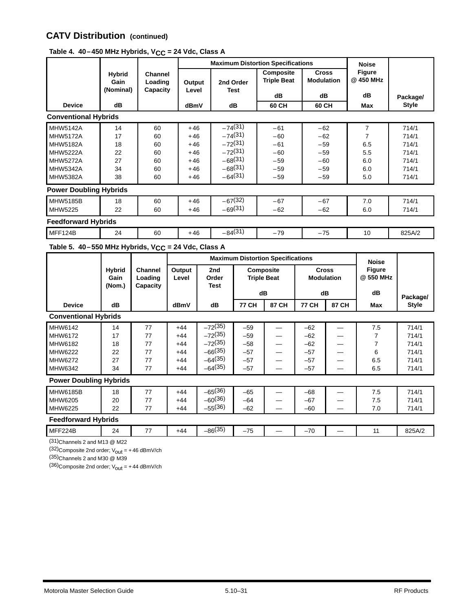### **CATV Distribution (continued)**

|  | Table 4. $40-450$ MHz Hybrids, $V_{CC}$ = 24 Vdc, Class A |  |  |  |  |
|--|-----------------------------------------------------------|--|--|--|--|
|--|-----------------------------------------------------------|--|--|--|--|

|                                                           |                                    |                                       |                 |                    |              |                          | <b>Maximum Distortion Specifications</b> |                                   |       | <b>Noise</b>               |              |
|-----------------------------------------------------------|------------------------------------|---------------------------------------|-----------------|--------------------|--------------|--------------------------|------------------------------------------|-----------------------------------|-------|----------------------------|--------------|
|                                                           | <b>Hybrid</b><br>Gain<br>(Nominal) | <b>Channel</b><br>Loading<br>Capacity | Output<br>Level |                    |              | 2nd Order<br><b>Test</b> | <b>Composite</b><br><b>Triple Beat</b>   | <b>Cross</b><br><b>Modulation</b> |       | <b>Figure</b><br>@ 450 MHz |              |
|                                                           |                                    |                                       |                 |                    |              |                          | dB                                       | dB                                |       | dB                         | Package/     |
| <b>Device</b>                                             | dB                                 |                                       | dBmV            |                    |              | dB                       | 60 CH                                    | 60 CH                             |       | <b>Max</b>                 | <b>Style</b> |
| <b>Conventional Hybrids</b>                               |                                    |                                       |                 |                    |              |                          |                                          |                                   |       |                            |              |
| <b>MHW5142A</b>                                           | 14                                 | 60                                    | $+46$           |                    | $-74(31)$    |                          | $-61$                                    | $-62$                             |       | $\overline{7}$             | 714/1        |
| <b>MHW5172A</b>                                           | 17                                 | 60                                    | $+46$           |                    |              | $-74(31)$                | $-60$                                    | $-62$                             |       | $\overline{7}$             | 714/1        |
| <b>MHW5182A</b>                                           | 18                                 | 60                                    | $+46$           |                    |              | $-72(31)$                | $-61$                                    | $-59$                             |       | 6.5                        | 714/1        |
| <b>MHW5222A</b>                                           | 22                                 | 60                                    | $+46$           |                    |              | $-72(31)$                | $-60$                                    | $-59$                             |       | 5.5                        | 714/1        |
| <b>MHW5272A</b>                                           | 27                                 | 60                                    | $+46$           |                    | $-68(31)$    |                          | $-59$                                    | $-60$                             |       | 6.0                        | 714/1        |
| <b>MHW5342A</b>                                           | 34                                 | 60                                    | $+46$           |                    | $-68(31)$    |                          | $-59$                                    | $-59$                             |       | 6.0                        | 714/1        |
| <b>MHW5382A</b>                                           | 38                                 | 60                                    | $+46$           |                    | $-64(31)$    |                          | $-59$                                    | $-59$                             |       | 5.0                        | 714/1        |
| <b>Power Doubling Hybrids</b>                             |                                    |                                       |                 |                    |              |                          |                                          |                                   |       |                            |              |
| <b>MHW5185B</b>                                           | 18                                 | 60                                    |                 | $-67(32)$<br>$+46$ |              |                          | $-67$                                    | $-67$                             |       | 7.0                        | 714/1        |
| MHW5225                                                   | 22                                 | 60                                    |                 | $-69(31)$<br>$+46$ |              |                          | $-62$                                    | $-62$                             |       | 6.0                        | 714/1        |
| <b>Feedforward Hybrids</b>                                |                                    |                                       |                 |                    |              |                          |                                          |                                   |       |                            |              |
| MFF124B                                                   | 24                                 | 60                                    |                 | $-84(31)$<br>$+46$ |              |                          | $-79$                                    | $-75$                             |       | 10                         | 825A/2       |
| Table 5. $40-550$ MHz Hybrids, $V_{CC}$ = 24 Vdc, Class A |                                    |                                       |                 |                    |              |                          |                                          |                                   |       |                            |              |
|                                                           |                                    |                                       |                 |                    |              |                          | <b>Maximum Distortion Specifications</b> |                                   |       | <b>Noise</b>               |              |
|                                                           | <b>Hybrid</b>                      | <b>Channel</b>                        | Output          |                    | 2nd          | <b>Composite</b>         |                                          | <b>Cross</b>                      |       | <b>Figure</b>              |              |
|                                                           | Gain                               | Loading                               | Level           |                    | Order        |                          | <b>Triple Beat</b>                       | <b>Modulation</b>                 |       | @ 550 MHz                  |              |
|                                                           | (Nom.)                             | Capacity                              |                 |                    | <b>Test</b>  |                          | dB                                       |                                   | dB    |                            |              |
|                                                           |                                    |                                       |                 |                    |              |                          | dB                                       |                                   |       |                            | Package/     |
| <b>Device</b>                                             | dB                                 |                                       | dBmV            |                    | dB           | 77 CH                    | 87 CH                                    | 77 CH                             | 87 CH | Max                        | <b>Style</b> |
| <b>Conventional Hybrids</b>                               |                                    |                                       |                 |                    |              |                          |                                          |                                   |       |                            |              |
| MHW6142                                                   | 14                                 | 77                                    | $+44$           |                    | $-72^{(35)}$ | $-59$                    |                                          | $-62$                             |       | 7.5                        | 714/1        |
| MHW6172                                                   | 17                                 | 77                                    | $+44$           |                    | $-72(35)$    | $-59$                    | $\overline{\phantom{0}}$                 | $-62$                             |       | $\overline{7}$             | 714/1        |
| MHW6182                                                   | 18                                 | 77                                    | $+44$           |                    | $-72(35)$    | $-58$                    |                                          | $-62$                             |       | $\overline{7}$             | 714/1        |
| MHW6222                                                   | 22                                 | 77                                    | $+44$           |                    | $-66(35)$    | $-57$                    |                                          | $-57$                             |       | 6                          | 714/1        |
| MHW6272                                                   | 27                                 | 77                                    | $+44$           |                    | $-64(35)$    | $-57$                    |                                          | $-57$                             |       | 6.5                        | 714/1        |
| MHW6342                                                   | 34                                 | 77                                    | $+44$           |                    | $-64(35)$    | $-57$                    |                                          | $-57$                             |       | 6.5                        | 714/1        |
| <b>Power Doubling Hybrids</b>                             |                                    |                                       |                 |                    |              |                          |                                          |                                   |       |                            |              |
| <b>MHW6185B</b>                                           | 18                                 | $77\,$                                | $+44$           |                    | $-65(36)$    | $-65$                    | $\equiv$                                 | $-68$                             |       | 7.5                        | 714/1        |
| MHW6205                                                   | 20                                 | 77                                    | $+44$           |                    | $-60(36)$    | $-64$                    |                                          | $-67$                             |       | 7.5                        | 714/1        |
| MHW6225                                                   | 22                                 | 77                                    | $+44$           |                    | $-55(36)$    | $-62$                    |                                          | $-60$                             |       | 7.0                        | 714/1        |
| <b>Feedforward Hybrids</b>                                |                                    |                                       |                 |                    |              |                          |                                          |                                   |       |                            |              |
| MFF224B                                                   | 24                                 | 77                                    | $+44$           |                    | $-86(35)$    | $-75$                    |                                          | $-70$                             |       | 11                         | 825A/2       |

(31)Channels 2 and M13 @ M22

 $(32)$ Composite 2nd order;  $V_{\text{out}}$  = +46 dBmV/ch

(35)Channels 2 and M30 @ M39

(36)Composite 2nd order;  $V_{\text{out}} = +44$  dBmV/ch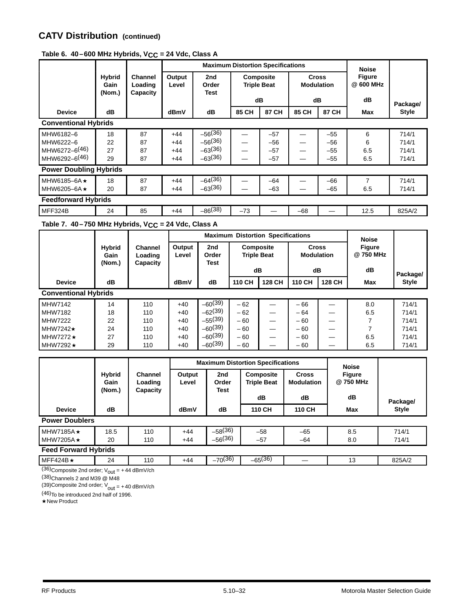## **CATV Distribution (continued)**

|  | Table 6. 40-600 MHz Hybrids, $V_{CC}$ = 24 Vdc, Class A |  |  |
|--|---------------------------------------------------------|--|--|
|--|---------------------------------------------------------|--|--|

|                                                                |                                 |                                |                 |                                          | <b>Maximum Distortion Specifications</b> |                                 |                                   |        | Noise                         |                          |
|----------------------------------------------------------------|---------------------------------|--------------------------------|-----------------|------------------------------------------|------------------------------------------|---------------------------------|-----------------------------------|--------|-------------------------------|--------------------------|
|                                                                | <b>Hybrid</b><br>Gain<br>(Nom.) | Channel<br>Loading<br>Capacity | Output<br>Level | 2nd<br>Order<br>Test                     |                                          | Composite<br><b>Triple Beat</b> | <b>Cross</b><br><b>Modulation</b> |        | <b>Figure</b><br>@ 600 MHz    |                          |
|                                                                |                                 |                                |                 |                                          |                                          | dB                              | dB                                |        | dВ                            | Package/                 |
| <b>Device</b>                                                  | dB                              |                                | dBmV            | dВ                                       | 85 CH                                    | <b>87 CH</b>                    | 85 CH                             | 87 CH  | Max                           | <b>Style</b>             |
| <b>Conventional Hybrids</b>                                    |                                 |                                |                 |                                          |                                          |                                 |                                   |        |                               |                          |
| MHW6182-6                                                      | 18                              | 87                             | $+44$           | $-56(36)$                                |                                          | $-57$                           |                                   | $-55$  | 6                             | 714/1                    |
| MHW6222-6                                                      | 22                              | 87                             | $+44$           | $-56(36)$                                | $\equiv$                                 | $-56$                           | $\overline{\phantom{0}}$          | -56    | 6                             | 714/1                    |
| MHW6272-6(46)                                                  | 27                              | 87                             | $+44$           | $-63(36)$                                |                                          | $-57$                           |                                   | $-55$  | 6.5                           | 714/1                    |
| MHW6292-6(46)                                                  | 29                              | 87                             | $+44$           | $-63(36)$                                | $\equiv$                                 | $-57$                           | $\equiv$                          | $-55$  | 6.5                           | 714/1                    |
| <b>Power Doubling Hybrids</b>                                  |                                 |                                |                 |                                          |                                          |                                 |                                   |        |                               |                          |
| MHW6185-6A★                                                    | 18                              | 87                             | $+44$           | $-64(36)$                                |                                          | $-64$                           |                                   | -66    | $\overline{7}$                | 714/1                    |
| MHW6205-6A★                                                    | 20                              | 87                             | $+44$           | $-63(36)$                                |                                          | $-63$                           |                                   | $-65$  | 6.5                           | 714/1                    |
| <b>Feedforward Hybrids</b>                                     |                                 |                                |                 |                                          |                                          |                                 |                                   |        |                               |                          |
| MFF324B                                                        | 24                              | 85                             | $+44$           | $-86(38)$                                | $-73$                                    |                                 | -68                               |        | 12.5                          | 825A/2                   |
| Table 7. 40-750 MHz Hybrids, V <sub>CC</sub> = 24 Vdc, Class A |                                 |                                |                 |                                          |                                          |                                 |                                   |        |                               |                          |
|                                                                |                                 |                                |                 | <b>Maximum Distortion Specifications</b> |                                          |                                 |                                   |        |                               |                          |
|                                                                | <b>Hybrid</b>                   | <b>Channel</b>                 | Output          | 2nd                                      | Composite                                |                                 | <b>Cross</b>                      |        | <b>Noise</b><br><b>Figure</b> |                          |
|                                                                | Gain                            | Loading                        | Level           | Order                                    | <b>Triple Beat</b>                       |                                 | <b>Modulation</b>                 |        | @750 MHz                      |                          |
|                                                                | (Nom.)                          | Capacity                       |                 | Test                                     |                                          |                                 |                                   |        |                               |                          |
|                                                                |                                 |                                |                 |                                          | dВ                                       |                                 | dВ                                |        | dВ                            | Package/                 |
| <b>Device</b>                                                  | dB                              |                                | dBmV            | dB                                       | 110 CH                                   | 128 CH                          | 110 CH                            | 128 CH | Max                           | <b>Style</b>             |
| <b>Conventional Hybrids</b>                                    |                                 |                                |                 |                                          |                                          |                                 |                                   |        |                               |                          |
| MHW7142                                                        | 14                              | 110                            | +40             | $-60(39)$                                | $-62$                                    |                                 | - 66                              |        | 8.0                           | 714/1                    |
| MHW7182                                                        | 18                              | 110                            | $+40$           | $-62(39)$                                | $-62$                                    |                                 | $-64$                             |        | 6.5                           | 714/1                    |
| MHW7222                                                        | 22                              | 110                            | $+40$           | $-55(39)$                                | $-60$                                    | $\equiv$                        | $-60$                             |        | $\overline{7}$                | 714/1                    |
| MHW7242 <sup>★</sup>                                           | 24                              | 110                            | $+40$           | $-60^{(39)}$                             | $-60$                                    | $\equiv$                        | $-60$                             |        | $\overline{7}$                | 714/1                    |
| MHW7272 $\star$                                                | 27                              | 110                            | +40             | $-60^{(39)}$                             | $-60$                                    |                                 | $-60$                             |        | 6.5                           | 714/1                    |
| MHW7292 ★                                                      | 29                              | 110                            | $+40$           | $-60(39)$                                | $-60$                                    |                                 | $-60$                             |        | 6.5                           | 714/1                    |
|                                                                |                                 |                                |                 |                                          |                                          |                                 |                                   |        |                               |                          |
|                                                                |                                 |                                |                 | <b>Maximum Distortion Specifications</b> |                                          |                                 |                                   |        | <b>Noise</b>                  |                          |
|                                                                | <b>Hybrid</b>                   | <b>Channel</b>                 | Output          | 2nd                                      |                                          | <b>Composite</b>                | <b>Cross</b><br><b>Modulation</b> |        | <b>Figure</b><br>@ 750 MHz    |                          |
|                                                                |                                 |                                |                 |                                          | <b>Triple Beat</b>                       |                                 |                                   |        |                               |                          |
|                                                                | Gain                            | Loading                        | Level           | Order<br>Test                            |                                          |                                 |                                   |        |                               |                          |
|                                                                | (Nom.)                          | Capacity                       |                 |                                          |                                          | dВ                              | dВ                                |        | dB                            |                          |
| <b>Device</b>                                                  | dВ                              |                                | dBmV            | dB                                       |                                          | 110 CH                          | 110 CH                            |        | Max                           | Package/<br><b>Style</b> |
| <b>Power Doublers</b>                                          |                                 |                                |                 |                                          |                                          |                                 |                                   |        |                               |                          |
| MHW7185A <del>★</del>                                          | 18.5                            | 110                            | $+44$           | $-58(36)$                                |                                          | $-58$                           | $-65$                             |        | 8.5                           | 714/1                    |
| MHW7205A ★                                                     | 20                              | 110                            | $+44$           | $-56(36)$                                |                                          | $-57$                           | $-64$                             |        | 8.0                           | 714/1                    |
| <b>Feed Forward Hybrids</b>                                    |                                 |                                |                 |                                          |                                          |                                 |                                   |        |                               |                          |
| MFF424B $\star$                                                | 24                              | 110                            | $+44$           | $-70(36)$                                |                                          | $-65(36)$                       |                                   |        | 13                            | 825A/2                   |

(38)Channels 2 and M39 @ M48

(39)Composite 2nd order;  $V_{\text{out}} = +40 \text{ dBmV/ch}$ (46)To be introduced 2nd half of 1996.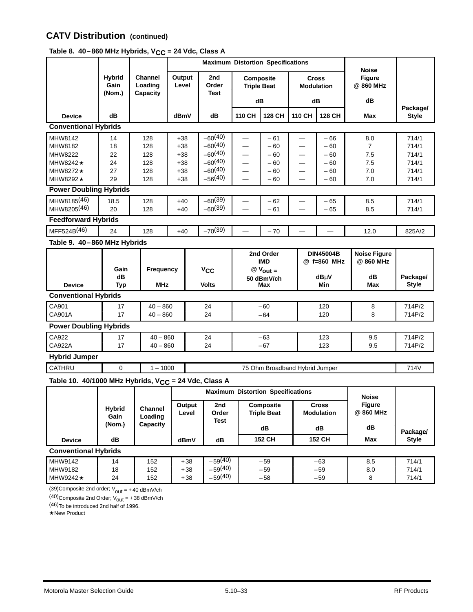### **CATV Distribution (continued)**

| iable 8.  40–860 MHz Hybrids, VCC = 24 Vdc, Class A       |                                 |                                |                 | <b>Maximum Distortion Specifications</b> |                                          |                                       |                                |                                         |                                                  |                          |
|-----------------------------------------------------------|---------------------------------|--------------------------------|-----------------|------------------------------------------|------------------------------------------|---------------------------------------|--------------------------------|-----------------------------------------|--------------------------------------------------|--------------------------|
|                                                           | <b>Hybrid</b><br>Gain<br>(Nom.) | Channel<br>Loading<br>Capacity | Output<br>Level | 2nd<br>Order<br><b>Test</b>              |                                          | Composite<br><b>Triple Beat</b><br>dB |                                | <b>Cross</b><br><b>Modulation</b><br>dB | <b>Noise</b><br><b>Figure</b><br>@ 860 MHz<br>dB |                          |
| <b>Device</b>                                             | dВ                              |                                | dBmV            | dB                                       | 110 CH                                   | 128 CH                                | 110 CH                         | 128 CH                                  | Max                                              | Package/<br><b>Style</b> |
| <b>Conventional Hybrids</b>                               |                                 |                                |                 |                                          |                                          |                                       |                                |                                         |                                                  |                          |
| MHW8142                                                   | 14                              | 128                            | $+38$           | $-60(40)$                                |                                          | $-61$                                 |                                | $-66$                                   | 8.0                                              | 714/1                    |
| MHW8182                                                   | 18                              | 128                            | $+38$           | $-60^{(40)}$                             | $\equiv$                                 | $-60$                                 | $\equiv$                       | $-60$                                   | $\overline{7}$                                   | 714/1                    |
| <b>MHW8222</b>                                            | 22                              | 128                            | $+38$           | $-60^{(40)}$                             | $\overline{\phantom{0}}$                 | $-60$                                 |                                | $-60$                                   | 7.5                                              | 714/1                    |
| MHW8242 <del>★</del>                                      | 24                              | 128                            | $+38$           | $-60^{(40)}$                             | $\overline{\phantom{0}}$                 | $-60$                                 |                                | $-60$                                   | 7.5                                              | 714/1                    |
| MHW8272 <del>★</del>                                      | 27                              | 128                            | $+38$           | $-60^{(40)}$                             | $\overline{\phantom{0}}$                 | $-60$                                 |                                | $-60$                                   | 7.0                                              | 714/1                    |
| MHW8292 <del>★</del>                                      | 29                              | 128                            | $+38$           | $-56(40)$                                | $\equiv$                                 | $-60$                                 | $\overline{\phantom{0}}$       | $-60$                                   | 7.0                                              | 714/1                    |
| <b>Power Doubling Hybrids</b>                             |                                 |                                |                 |                                          |                                          |                                       |                                |                                         |                                                  |                          |
| MHW8185(46)                                               | 18.5                            | 128                            | $+40$           | $-60(39)$                                | —                                        | - 62                                  |                                | $-65$                                   | 8.5                                              | 714/1                    |
| MHW8205(46)                                               | 20                              | 128                            | $+40$           | $-60^{(39)}$                             |                                          | $-61$                                 |                                | $-65$                                   | 8.5                                              | 714/1                    |
| <b>Feedforward Hybrids</b>                                |                                 |                                |                 |                                          |                                          |                                       |                                |                                         |                                                  |                          |
| MFF524B(46)                                               | 24                              | 128                            | $+40$           | $-70^{(39)}$                             |                                          | $-70$                                 |                                |                                         | 12.0                                             | 825A/2                   |
| Table 9. 40-860 MHz Hybrids                               |                                 |                                |                 |                                          |                                          |                                       |                                |                                         |                                                  |                          |
|                                                           |                                 |                                |                 |                                          |                                          | 2nd Order                             |                                | <b>DIN45004B</b>                        | <b>Noise Figure</b>                              |                          |
|                                                           | Gain                            |                                |                 |                                          |                                          | <b>IMD</b>                            |                                | @ f=860 MHz                             | @ 860 MHz                                        |                          |
|                                                           | dB                              | <b>Frequency</b>               |                 | $v_{\rm CC}$                             |                                          | $@$ $V_{\text{out}} =$                |                                | $dB\mu V$                               | dВ                                               | Package/                 |
| <b>Device</b>                                             | <b>Typ</b>                      | <b>MHz</b>                     |                 | <b>Volts</b>                             |                                          | 50 dBmV/ch<br>Max                     |                                | Min                                     | Max                                              | <b>Style</b>             |
| <b>Conventional Hybrids</b>                               |                                 |                                |                 |                                          |                                          |                                       |                                |                                         |                                                  |                          |
| CA901                                                     | 17                              | $40 - 860$                     |                 | 24                                       |                                          | $-60$                                 |                                | 120                                     | 8                                                | 714P/2                   |
| CA901A                                                    | 17                              | $40 - 860$                     |                 | 24                                       |                                          | $-64$                                 |                                | 120                                     | 8                                                | 714P/2                   |
| <b>Power Doubling Hybrids</b>                             |                                 |                                |                 |                                          |                                          |                                       |                                |                                         |                                                  |                          |
| CA922                                                     | 17                              | $40 - 860$                     |                 | 24                                       |                                          | $-63$                                 |                                | 123                                     | 9.5                                              | 714P/2                   |
| <b>CA922A</b>                                             | 17                              | $40 - 860$                     |                 | 24                                       |                                          | $-67$                                 |                                | 123                                     | 9.5                                              | 714P/2                   |
| <b>Hybrid Jumper</b>                                      |                                 |                                |                 |                                          |                                          |                                       |                                |                                         |                                                  |                          |
| CATHRU                                                    | $\mathbf 0$                     | $1 - 1000$                     |                 |                                          |                                          |                                       | 75 Ohm Broadband Hybrid Jumper |                                         |                                                  | 714V                     |
| Table 10. 40/1000 MHz Hybrids, $V_{CC}$ = 24 Vdc, Class A |                                 |                                |                 |                                          |                                          |                                       |                                |                                         |                                                  |                          |
|                                                           |                                 |                                |                 |                                          | <b>Maximum Distortion Specifications</b> |                                       |                                |                                         |                                                  |                          |
|                                                           | <b>Hybrid</b><br>Gain           | Channel<br>Loading             | Output<br>Level | 2nd<br>Order<br><b>Test</b>              |                                          | Composite<br><b>Triple Beat</b>       |                                | <b>Cross</b><br><b>Modulation</b>       | <b>Noise</b><br><b>Figure</b><br>@ 860 MHz       |                          |
|                                                           | (Nom.)                          | Capacity                       |                 |                                          |                                          | dB                                    |                                | dB                                      | dB                                               | Package/                 |
| <b>Device</b>                                             | dB                              |                                | dBmV            | dB                                       |                                          | 152 CH                                |                                | 152 CH                                  | Max                                              | <b>Style</b>             |
| <b>Conventional Hybrids</b>                               |                                 |                                |                 |                                          |                                          |                                       |                                |                                         |                                                  |                          |

| Table 8. 40-860 MHz Hybrids, $VCC = 24$ Vdc, Class A |
|------------------------------------------------------|
|------------------------------------------------------|

MHW9142 14 152 +38 –59(40) –59 –63 8.5 714/1 MHW9182 18 152 +38 –59(40) –59 –59 8.0 714/1 MHW9242★ | 24 | 152 | +38 | -59(<sup>40)</sup> | -58 | -59 | 8 | 714/1

(39)Composite 2nd order;  $V_{\text{out}} = +40 \text{ dBmV/ch}$ 

 $(40)$ Composite 2nd Order;  $V_{\text{out}} = +38$  dBmV/ch

(46)To be introduced 2nd half of 1996.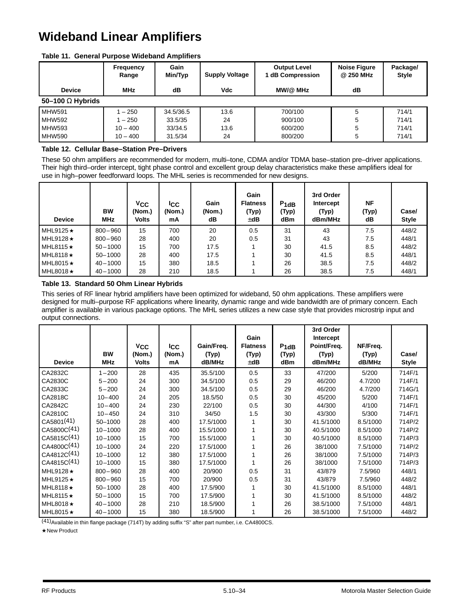# **Wideband Linear Amplifiers**

|                         | <b>Frequency</b><br>Range | Gain<br>Min/Typ | <b>Supply Voltage</b> | <b>Output Level</b><br>1 dB Compression | <b>Noise Figure</b><br>@ 250 MHz | Package/<br><b>Style</b> |
|-------------------------|---------------------------|-----------------|-----------------------|-----------------------------------------|----------------------------------|--------------------------|
| <b>Device</b>           | <b>MHz</b>                | dB              | Vdc                   | MW/@ MHz                                | dB                               |                          |
| 50-100 $\Omega$ Hybrids |                           |                 |                       |                                         |                                  |                          |
| <b>MHW591</b>           | $1 - 250$                 | 34.5/36.5       | 13.6                  | 700/100                                 | 5                                | 714/1                    |
| <b>MHW592</b>           | $1 - 250$                 | 33.5/35         | 24                    | 900/100                                 | 5                                | 714/1                    |
| MHW593                  | $10 - 400$                | 33/34.5         | 13.6                  | 600/200                                 | 5                                | 714/1                    |
| <b>MHW590</b>           | $10 - 400$                | 31.5/34         | 24                    | 800/200                                 | 5                                | 714/1                    |

#### **Table 11. General Purpose Wideband Amplifiers**

### **Table 12. Cellular Base–Station Pre–Drivers**

These 50 ohm amplifiers are recommended for modern, multi–tone, CDMA and/or TDMA base–station pre–driver applications. Their high third–order intercept, tight phase control and excellent group delay characteristics make these amplifiers ideal for use in high–power feedforward loops. The MHL series is recommended for new designs.

| <b>Device</b>   | <b>BW</b><br><b>MHz</b> | $v_{\mathbf{C} \mathbf{C}}$<br>(Nom.)<br>Volts | <b>ICC</b><br>(Nom.)<br>mA | Gain<br>(Nom.)<br>dВ | Gain<br><b>Flatness</b><br>(Typ)<br>$\pm$ dB | $P_{1dB}$<br>(Typ)<br>dBm | 3rd Order<br>Intercept<br>(Typ)<br>dBm/MHz | <b>NF</b><br>(Typ)<br>dB | Case/<br><b>Style</b> |
|-----------------|-------------------------|------------------------------------------------|----------------------------|----------------------|----------------------------------------------|---------------------------|--------------------------------------------|--------------------------|-----------------------|
| MHL9125 $\star$ | $800 - 960$             | 15                                             | 700                        | 20                   | 0.5                                          | 31                        | 43                                         | 7.5                      | 448/2                 |
| MHL9128 $\star$ | $800 - 960$             | 28                                             | 400                        | 20                   | 0.5                                          | 31                        | 43                                         | 7.5                      | 448/1                 |
| MHL8115 $\star$ | $50 - 1000$             | 15                                             | 700                        | 17.5                 |                                              | 30                        | 41.5                                       | 8.5                      | 448/2                 |
| MHL8118 $\star$ | $50 - 1000$             | 28                                             | 400                        | 17.5                 |                                              | 30                        | 41.5                                       | 8.5                      | 448/1                 |
| MHL8015 $\star$ | $40 - 1000$             | 15                                             | 380                        | 18.5                 |                                              | 26                        | 38.5                                       | 7.5                      | 448/2                 |
| MHL8018 $\star$ | $40 - 1000$             | 28                                             | 210                        | 18.5                 |                                              | 26                        | 38.5                                       | 7.5                      | 448/1                 |

#### **Table 13. Standard 50 Ohm Linear Hybrids**

This series of RF linear hybrid amplifiers have been optimized for wideband, 50 ohm applications. These amplifiers were designed for multi–purpose RF applications where linearity, dynamic range and wide bandwidth are of primary concern. Each amplifier is available in various package options. The MHL series utilizes a new case style that provides microstrip input and output connections.

|                      |             |              |            |            | Gain            |           | 3rd Order<br>Intercept |          |              |
|----------------------|-------------|--------------|------------|------------|-----------------|-----------|------------------------|----------|--------------|
|                      |             | $v_{\rm CC}$ | <b>ICC</b> | Gain/Freq. | <b>Flatness</b> | $P_{1dB}$ | Point/Freq.            | NF/Freq. |              |
|                      | <b>BW</b>   | (Nom.)       | (Nom.)     | (Typ)      | (Typ)           | (Typ)     | (Typ)                  | (Typ)    | Case/        |
| <b>Device</b>        | <b>MHz</b>  | <b>Volts</b> | mA         | dB/MHz     | $\pm$ dB        | dBm       | dBm/MHz                | dB/MHz   | <b>Style</b> |
| CA2832C              | $1 - 200$   | 28           | 435        | 35.5/100   | 0.5             | 33        | 47/200                 | 5/200    | 714F/1       |
| CA2830C              | $5 - 200$   | 24           | 300        | 34.5/100   | 0.5             | 29        | 46/200                 | 4.7/200  | 714F/1       |
| CA2833C              | $5 - 200$   | 24           | 300        | 34.5/100   | 0.5             | 29        | 46/200                 | 4.7/200  | 714G/1       |
| CA2818C              | $10 - 400$  | 24           | 205        | 18.5/50    | 0.5             | 30        | 45/200                 | 5/200    | 714F/1       |
| CA2842C              | $10 - 400$  | 24           | 230        | 22/100     | 0.5             | 30        | 44/300                 | 4/100    | 714F/1       |
| CA2810C              | $10 - 450$  | 24           | 310        | 34/50      | 1.5             | 30        | 43/300                 | 5/300    | 714F/1       |
| CA5801(41)           | 50-1000     | 28           | 400        | 17.5/1000  |                 | 30        | 41.5/1000              | 8.5/1000 | 714P/2       |
| CA5800C(41)          | $10 - 1000$ | 28           | 400        | 15.5/1000  |                 | 30        | 40.5/1000              | 8.5/1000 | 714P/2       |
| CA5815C(41)          | $10 - 1000$ | 15           | 700        | 15.5/1000  |                 | 30        | 40.5/1000              | 8.5/1000 | 714P/3       |
| CA4800C(41)          | $10 - 1000$ | 24           | 220        | 17.5/1000  |                 | 26        | 38/1000                | 7.5/1000 | 714P/2       |
| CA4812C(41)          | $10 - 1000$ | 12           | 380        | 17.5/1000  |                 | 26        | 38/1000                | 7.5/1000 | 714P/3       |
| CA4815C(41)          | $10 - 1000$ | 15           | 380        | 17.5/1000  |                 | 26        | 38/1000                | 7.5/1000 | 714P/3       |
| MHL9128 $\star$      | $800 - 960$ | 28           | 400        | 20/900     | 0.5             | 31        | 43/879                 | 7.5/960  | 448/1        |
| MHL9125 $\star$      | $800 - 960$ | 15           | 700        | 20/900     | 0.5             | 31        | 43/879                 | 7.5/960  | 448/2        |
| MHL8118 $\star$      | $50 - 1000$ | 28           | 400        | 17.5/900   |                 | 30        | 41.5/1000              | 8.5/1000 | 448/1        |
| MHL8115 $\star$      | $50 - 1000$ | 15           | 700        | 17.5/900   |                 | 30        | 41.5/1000              | 8.5/1000 | 448/2        |
| MHL8018 <sup>*</sup> | $40 - 1000$ | 28           | 210        | 18.5/900   |                 | 26        | 38.5/1000              | 7.5/1000 | 448/1        |
| MHL8015 $\star$      | $40 - 1000$ | 15           | 380        | 18.5/900   |                 | 26        | 38.5/1000              | 7.5/1000 | 448/2        |

(41)Available in thin flange package (714T) by adding suffix "S" after part number, i.e. CA4800CS.